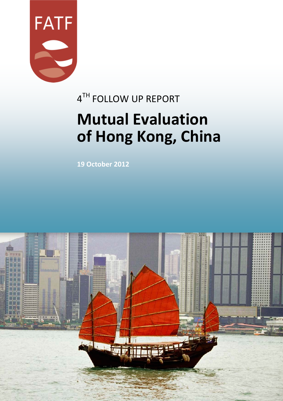

# 4TH FOLLOW UP REPORT **Mutual Evaluation of Hong Kong, China**

**19 October 2012**

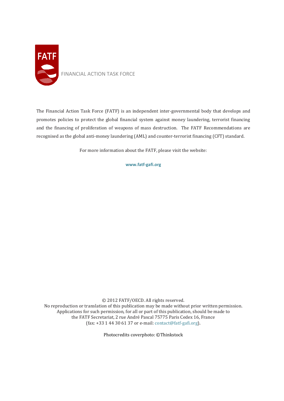

The Financial Action Task Force (FATF) is an independent inter-governmental body that develops and promotes policies to protect the global financial system against money laundering, terrorist financing and the financing of proliferation of weapons of mass destruction. The FATF Recommendations are recognised as the global anti-money laundering (AML) and counter-terrorist financing (CFT) standard.

For more information about the FATF, please visit the website:

**www.fatf-gafi.org**

© 2012 FATF/OECD. All rights reserved. No reproduction or translation of this publication may be made without prior written permission. Applications for such permission, for all or part of this publication, should be made to the FATF Secretariat, 2 rue André Pascal 75775 Paris Cedex 16, France (fax: +33 1 44 30 61 37 or e-mail: [contact@fatf-gafi.org\)](mailto:contact@fatf-gafi.org).

Photocredits coverphoto: ©Thinkstock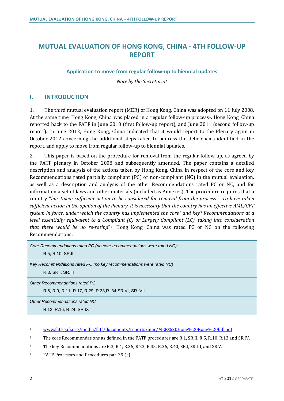## **MUTUAL EVALUATION OF HONG KONG, CHINA - 4TH FOLLOW-UP REPORT**

## **Application to move from regular follow-up to biennial updates**

*Note by the Secretariat*

## **I. INTRODUCTION**

1. The third mutual evaluation report (MER) of Hong Kong, China was adopted on 11 July 2008. At the same time, Hong Kong, China was placed in a regular follow-up process<sup>1</sup>. Hong Kong, China reported back to the FATF in June 2010 (first follow-up report), and June 2011 (second follow-up report). In June 2012, Hong Kong, China indicated that it would report to the Plenary again in October 2012 concerning the additional steps taken to address the deficiencies identified in the report, and apply to move from regular follow-up to biennial updates.

2. This paper is based on the procedure for removal from the regular follow-up, as agreed by the FATF plenary in October 2008 and subsequently amended. The paper contains a detailed description and analysis of the actions taken by Hong Kong, China in respect of the core and key Recommendations rated partially compliant (PC) or non-compliant (NC) in the mutual evaluation, as well as a description and analysis of the other Recommendations rated PC or NC, and for information a set of laws and other materials (included as Annexes). The procedure requires that a country "*has taken sufficient action to be considered for removal from the process – To have taken sufficient action in the opinion of the Plenary, it is necessary that the country has an effective AML/CFT system in force, under which the country has implemented the core[2](#page-2-1) and key[3](#page-2-2) Recommendations at a level essentially equivalent to a Compliant (C) or Largely Compliant (LC), taking into consideration that there would be no re-rating*"[4.](#page-2-3) Hong Kong, China was rated PC or NC on the following Recommendations:

| Core Recommendations rated PC (no core recommendations were rated NC):<br>R.5, R.10, SR.II |
|--------------------------------------------------------------------------------------------|
| Key Recommendations rated PC (no key recommendations were rated NC)<br>R.3, SR.I, SR.III   |
| Other Recommendations rated PC<br>R.6, R.9, R.11, R.17, R.29, R.33, R. 34 SR.VI, SR. VII   |
| Other Recommendations rated NC<br>R.12, R.16, R.24, SR IX                                  |

 $\overline{a}$ 

<span id="page-2-0"></span><sup>1</sup> [www.fatf-gafi.org/media/fatf/documents/reports/mer/MER%20Hong%20Kong%20full.pdf](http://www.fatf-gafi.org/media/fatf/documents/reports/mer/MER%20Hong%20Kong%20full.pdf)

<span id="page-2-1"></span><sup>&</sup>lt;sup>2</sup> The core Recommendations as defined in the FATF procedures are R.1, SR.II, R.5, R.10, R.13 and SR.IV.

<span id="page-2-2"></span><sup>&</sup>lt;sup>3</sup> The key Recommendations are R.3, R.4, R.26, R.23, R.35, R.36, R.40, SR.I, SR.III, and SR.V.

<span id="page-2-3"></span><sup>4</sup> FATF Processes and Procedures par. 39 (c)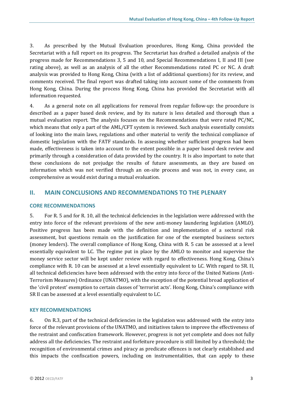3. As prescribed by the Mutual Evaluation procedures, Hong Kong, China provided the Secretariat with a full report on its progress. The Secretariat has drafted a detailed analysis of the progress made for Recommendations 3, 5 and 10, and Special Recommendations I, II and III (see rating above), as well as an analysis of all the other Recommendations rated PC or NC. A draft analysis was provided to Hong Kong, China (with a list of additional questions) for its review, and comments received. The final report was drafted taking into account some of the comments from Hong Kong, China. During the process Hong Kong, China has provided the Secretariat with all information requested.

4. As a general note on all applications for removal from regular follow-up: the procedure is described as a paper based desk review, and by its nature is less detailed and thorough than a mutual evaluation report. The analysis focuses on the Recommendations that were rated PC/NC, which means that only a part of the AML/CFT system is reviewed. Such analysis essentially consists of looking into the main laws, regulations and other material to verify the technical compliance of domestic legislation with the FATF standards. In assessing whether sufficient progress had been made, effectiveness is taken into account to the extent possible in a paper based desk review and primarily through a consideration of data provided by the country. It is also important to note that these conclusions do not prejudge the results of future assessments, as they are based on information which was not verified through an on-site process and was not, in every case, as comprehensive as would exist during a mutual evaluation.

## **II. MAIN CONCLUSIONS AND RECOMMENDATIONS TO THE PLENARY**

#### **CORE RECOMMENDATIONS**

5. For R. 5 and for R. 10, all the technical deficiencies in the legislation were addressed with the entry into force of the relevant provisions of the new anti-money laundering legislation (AMLO). Positive progress has been made with the definition and implementation of a sectoral risk assessment, but questions remain on the justification for one of the exempted business sectors (money lenders). The overall compliance of Hong Kong, China with R. 5 can be assessed at a level essentially equivalent to LC. The regime put in place by the AMLO to monitor and supervise the money service sector will be kept under review with regard to effectiveness. Hong Kong, China's compliance with R. 10 can be assessed at a level essentially equivalent to LC. With regard to SR. II, all technical deficiencies have been addressed with the entry into force of the United Nations (Anti-Terrorism Measures) Ordinance (UNATMO), with the exception of the potential broad application of the 'civil protest' exemption to certain classes of 'terrorist acts'. Hong Kong, China's compliance with SR II can be assessed at a level essentially equivalent to LC.

#### **KEY RECOMMENDATIONS**

6. On R.3, part of the technical deficiencies in the legislation was addressed with the entry into force of the relevant provisions of the UNATMO, and initiatives taken to improve the effectiveness of the restraint and confiscation framework. However, progress is not yet complete and does not fully address all the deficiencies. The restraint and forfeiture procedure is still limited by a threshold; the recognition of environmental crimes and piracy as predicate offences is not clearly established and this impacts the confiscation powers, including on instrumentalities, that can apply to these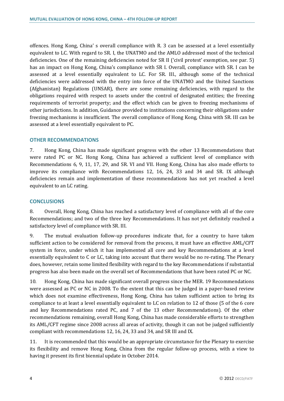offences. Hong Kong, China' s overall compliance with R. 3 can be assessed at a level essentially equivalent to LC. With regard to SR. I, the UNATMO and the AMLO addressed most of the technical deficiencies. One of the remaining deficiencies noted for SR II ('civil protest' exemption, see par. 5) has an impact on Hong Kong, China's compliance with SR I. Overall, compliance with SR. I can be assessed at a level essentially equivalent to LC. For SR. III., although some of the technical deficiencies were addressed with the entry into force of the UNATMO and the United Sanctions (Afghanistan) Regulations (UNSAR), there are some remaining deficiencies, with regard to the obligations required with respect to assets under the control of designated entities; the freezing requirements of terrorist property; and the effect which can be given to freezing mechanisms of other jurisdictions. In addition, Guidance provided to institutions concerning their obligations under freezing mechanisms is insufficient. The overall compliance of Hong Kong, China with SR. III can be assessed at a level essentially equivalent to PC.

#### **OTHER RECOMMENDATIONS**

7. Hong Kong, China has made significant progress with the other 13 Recommendations that were rated PC or NC. Hong Kong, China has achieved a sufficient level of compliance with Recommendations 6, 9, 11, 17, 29, and SR. VI and VII. Hong Kong, China has also made efforts to improve its compliance with Recommendations 12, 16, 24, 33 and 34 and SR. IX although deficiencies remain and implementation of these recommendations has not yet reached a level equivalent to an LC rating.

#### **CONCLUSIONS**

8. Overall, Hong Kong, China has reached a satisfactory level of compliance with all of the core Recommendations; and two of the three key Recommendations. It has not yet definitely reached a satisfactory level of compliance with SR. III.

9. The mutual evaluation follow-up procedures indicate that, for a country to have taken sufficient action to be considered for removal from the process, it must have an effective AML/CFT system in force, under which it has implemented all core and key Recommendations at a level essentially equivalent to C or LC, taking into account that there would be no re-rating. The Plenary does, however, retain some limited flexibility with regard to the key Recommendations if substantial progress has also been made on the overall set of Recommendations that have been rated PC or NC.

10. Hong Kong, China has made significant overall progress since the MER. 19 Recommendations were assessed as PC or NC in 2008. To the extent that this can be judged in a paper-based review which does not examine effectiveness, Hong Kong, China has taken sufficient action to bring its compliance to at least a level essentially equivalent to LC on relation to 12 of those (5 of the 6 core and key Recommendations rated PC, and 7 of the 13 other Recommendations). Of the other recommendations remaining, overall Hong Kong, China has made considerable efforts to strengthen its AML/CFT regime since 2008 across all areas of activity, though it can not be judged sufficiently compliant with recommendations 12, 16, 24, 33 and 34, and SR III and IX.

11. It is recommended that this would be an appropriate circumstance for the Plenary to exercise its flexibility and remove Hong Kong, China from the regular follow-up process, with a view to having it present its first biennial update in October 2014.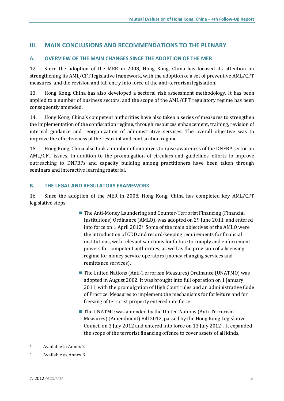## **III. MAIN CONCLUSIONS AND RECOMMENDATIONS TO THE PLENARY**

## **A. OVERVIEW OF THE MAIN CHANGES SINCE THE ADOPTION OF THE MER**

12. Since the adoption of the MER in 2008, Hong Kong, China has focused its attention on strengthening its AML/CFT legislative framework, with the adoption of a set of preventive AML/CFT measures, and the revision and full entry into force of the anti-terrorism legislation.

13. Hong Kong, China has also developed a sectoral risk assessment methodology. It has been applied to a number of business sectors, and the scope of the AML/CFT regulatory regime has been consequently amended.

14. Hong Kong, China's competent authorities have also taken a series of measures to strengthen the implementation of the confiscation regime, through resources enhancement, training, revision of internal guidance and reorganization of administrative services. The overall objective was to improve the effectiveness of the restraint and confiscation regime.

15. Hong Kong, China also took a number of initiatives to raise awareness of the DNFBP sector on AML/CFT issues. In addition to the promulgation of circulars and guidelines, efforts to improve outreaching to DNFBPs and capacity building among practitioners have been taken through seminars and interactive learning material.

## **B. THE LEGAL AND REGULATORY FRAMEWORK**

16. Since the adoption of the MER in 2008, Hong Kong, China has completed key AML/CFT legislative steps:

- The Anti-Money Laundering and Counter-Terrorist Financing (Financial Institutions) Ordinance (AMLO), was adopted on 29 June 2011, and entered into force on 1 April 2012[5](#page-5-0). Some of the main objectives of the AMLO were the introduction of CDD and record-keeping requirements for financial institutions, with relevant sanctions for failure to comply and enforcement powers for competent authorities; as well as the provision of a licensing regime for money service operators (money changing services and remittance services).
- The United Nations (Anti-Terrorism Measures) Ordinance (UNATMO) was adopted in August 2002. It was brought into full operation on 1 January 2011, with the promulgation of High Court rules and an administrative Code of Practice. Measures to implement the mechanisms for forfeiture and for freezing of terrorist property entered into force.
- The UNATMO was amended by the United Nations (Anti-Terrorism Measures) (Amendment) Bill 2012, passed by the Hong Kong Legislative Council on 3 July 2012 and entered into force on 13 July 2012[6](#page-5-1). It expanded the scope of the terrorist financing offence to cover assets of all kinds,

 $\ddot{\phantom{a}}$ <sup>5</sup> Available in Annex 2

<span id="page-5-1"></span><span id="page-5-0"></span><sup>6</sup> Available as Annex 3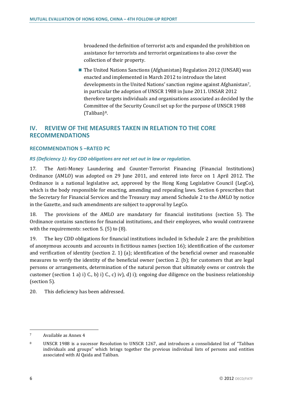broadened the definition of terrorist acts and expanded the prohibition on assistance for terrorists and terrorist organizations to also cover the collection of their property.

■ The United Nations Sanctions (Afghanistan) Regulation 2012 (UNSAR) was enacted and implemented in March 2012 to introduce the latest developments in the United Nations' sanction regime against Afghanistan[7](#page-6-0), in particular the adoption of UNSCR 1988 in June 2011. UNSAR 2012 therefore targets individuals and organisations associated as decided by the Committee of the Security Council set up for the purpose of UNSCR 1988 (Taliban)[8](#page-6-1).

## **IV. REVIEW OF THE MEASURES TAKEN IN RELATION TO THE CORE RECOMMENDATIONS**

## **RECOMMENDATION 5 –RATED PC**

#### *R5 (Deficiency 1): Key CDD obligations are not set out in law or regulation.*

17. The Anti-Money Laundering and Counter-Terrorist Financing (Financial Institutions) Ordinance (AMLO) was adopted on 29 June 2011, and entered into force on 1 April 2012. The Ordinance is a national legislative act, approved by the Hong Kong Legislative Council (LegCo), which is the body responsible for enacting, amending and repealing laws. Section 6 prescribes that the Secretary for Financial Services and the Treasury may amend Schedule 2 to the AMLO by notice in the Gazette, and such amendments are subject to approval by LegCo.

18. The provisions of the AMLO are mandatory for financial institutions (section 5). The Ordinance contains sanctions for financial institutions, and their employees, who would contravene with the requirements: section 5. (5) to (8).

19. The key CDD obligations for financial institutions included in Schedule 2 are: the prohibition of anonymous accounts and accounts in fictitious names (section 16); identification of the customer and verification of identity (section 2. 1) (a); identification of the beneficial owner and reasonable measures to verify the identity of the beneficial owner (section 2. (b); for customers that are legal persons or arrangements, determination of the natural person that ultimately owns or controls the customer (section 1 a) i) C., b) i) C., c) iv), d) i); ongoing due diligence on the business relationship (section 5).

20. This deficiency has been addressed.

 $\overline{a}$ 

<span id="page-6-0"></span><sup>7</sup> Available as Annex 4

<span id="page-6-1"></span><sup>8</sup> UNSCR 1988 is a sucessor Resolution to UNSCR 1267, and introduces a consolidated list of "Taliban individuals and groups" which brings together the previous individual lists of persons and entities associated with Al Qaida and Taliban.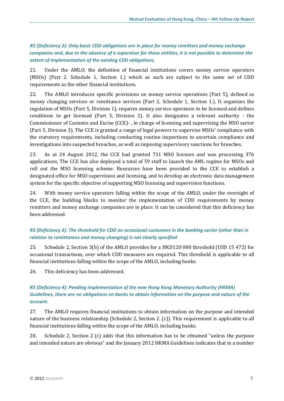*R5 (Deficiency 2): Only basic CDD obligations are in place for money remitters and money exchange companies and, due to the absence of a supervisor for these entities, it is not possible to determine the extent of implementation of the existing CDD obligations.*

21. Under the AMLO, the definition of financial institutions covers money service operators (MSOs) (Part 2. Schedule 1, Section 1.) which as such are subject to the same set of CDD requirements as the other financial institutions.

22. The AMLO introduces specific provisions on money service operations (Part 5), defined as money changing services or remittance services (Part 2, Schedule 1, Section 1.). It organises the regulation of MSOs (Part 5, Division 1), requires money service operators to be licensed and defines conditions to get licensed (Part 5, Division 2). It also designates a relevant authority - the Commissioner of Customs and Excise (CCE)- , in charge of licensing and supervising the MSO sector (Part 5, Division 3). The CCE is granted a range of legal powers to supervise MSOs' compliance with the statutory requirements, including conducting routine inspections to ascertain compliance and investigations into suspected breaches, as well as imposing supervisory sanctions for breaches.

23. As at 24 August 2012, the CCE had granted 731 MSO licences and was processing 376 applications. The CCE has also deployed a total of 59 staff to launch the AML regime for MSOs and roll out the MSO licensing scheme. Resources have been provided to the CCE to establish a designated office for MSO supervision and licensing, and to develop an electronic data management system for the specific objective of supporting MSO licensing and supervision functions.

24. With money service operators falling within the scope of the AMLO, under the oversight of the CCE, the building blocks to monitor the implementation of CDD requirements by money remitters and money exchange companies are in place. It can be considered that this deficiency has been addressed.

## *R5 (Deficiency 3): The threshold for CDD on occasional customers in the banking sector (other than in relation to remittances and money changing) is not clearly specified*

25. Schedule 2, Section 3(b) of the AMLO provides for a HKD120 000 threshold (USD 15 472) for occasional transactions, over which CDD measures are required. This threshold is applicable to all financial institutions falling within the scope of the AMLO, including banks.

26. This deficiency has been addressed.

## *R5 (Deficiency 4): Pending implementation of the new Hong Kong Monetary Authority (HKMA) Guidelines, there are no obligations on banks to obtain information on the purpose and nature of the account.*

27. The AMLO requires financial institutions to obtain information on the purpose and intended nature of the business relationship (Schedule 2, Section 2. (c)). This requirement is applicable to all financial institutions falling within the scope of the AMLO, including banks.

28. Schedule 2, Section 2 (c) adds that this information has to be obtained "unless the purpose and intended nature are obvious" and the January 2012 HKMA Guidelines indicates that in a number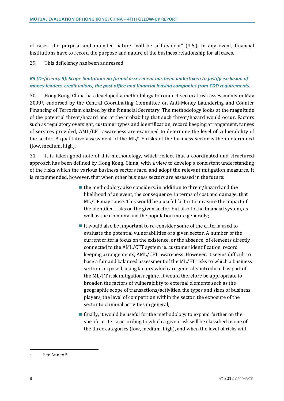of cases, the purpose and intended nature "will be self-evident" (4.6.). In any event, financial institutions have to record the purpose and nature of the business relationship for all cases.

29. This deficiency has been addressed.

## *R5 (Deficiency 5): Scope limitation: no formal assessment has been undertaken to justify exclusion of money lenders, credit unions, the post office and financial leasing companies from CDD requirements.*

30. Hong Kong, China has developed a methodology to conduct sectoral risk assessments in May 2009[9,](#page-8-0) endorsed by the Central Coordinating Committee on Anti-Money Laundering and Counter Financing of Terrorism chaired by the Financial Secretary. The methodology looks at the magnitude of the potential threat/hazard and at the probability that such threat/hazard would occur. Factors such as regulatory oversight, customer types and identification, record keeping arrangement, ranges of services provided, AML/CFT awareness are examined to determine the level of vulnerability of the sector. A qualitative assessment of the ML/TF risks of the business sector is then determined (low, medium, high).

31. It is taken good note of this methodology, which reflect that a coordinated and structured approach has been defined by Hong Kong, China, with a view to develop a consistent understanding of the risks which the various business sectors face, and adopt the relevant mitigation measures. It is recommended, however, that when other business sectors are assessed in the future:

- $\blacksquare$  the methodology also considers, in addition to threat/hazard and the likelihood of an event, the consequence, in terms of cost and damage, that ML/TF may cause. This would be a useful factor to measure the impact of the identified risks on the given sector, but also to the financial system, as well as the economy and the population more generally;
- $\blacksquare$  it would also be important to re-consider some of the criteria used to evaluate the potential vulnerabilities of a given sector. A number of the current criteria focus on the existence, or the absence, of elements directly connected to the AML/CFT system ie. customer identification, record keeping arrangements, AML/CFT awareness. However, it seems difficult to base a fair and balanced assessment of the ML/FT risks to which a business sector is exposed, using factors which are generally introduced as part of the ML/FT risk mitigation regime. It would therefore be appropriate to broaden the factors of vulnerability to external elements such as the geographic scope of transactions/activities, the types and sizes of business players, the level of competition within the sector, the exposure of the sector to criminal activities in general;
- $\blacksquare$  finally, it would be useful for the methodology to expand further on the specific criteria according to which a given risk will be classified in one of the three categories (low, medium, high), and when the level of risks will

 $\overline{a}$ 

<span id="page-8-0"></span><sup>9</sup> See Annex 5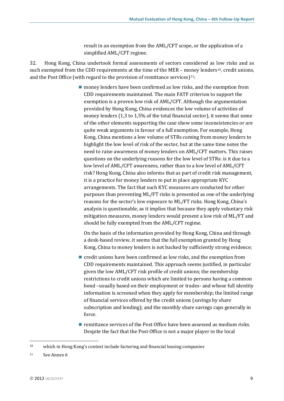result in an exemption from the AML/CFT scope, or the application of a simplified AML/CFT regime.

32. Hong Kong, China undertook formal assessments of sectors considered as low risks and as such exempted from the CDD requirements at the time of the MER – money lenders<sup>10</sup>, credit unions, and the Post Office (with regard to the provision of remittance services) $11$ :

> ■ money lenders have been confirmed as low risks, and the exemption from CDD requirements maintained. The main FATF criterion to support the exemption is a proven low risk of AML/CFT. Although the argumentation provided by Hong Kong, China evidences the low volume of activities of money lenders (1,3 to 1,5% of the total financial sector), it seems that some of the other elements supporting the case show some inconsistencies or are quite weak arguments in favour of a full exemption. For example, Hong Kong, China mentions a low volume of STRs coming from money lenders to highlight the low level of risk of the sector, but at the same time notes the need to raise awareness of money lenders on AML/CFT matters. This raises questions on the underlying reasons for the low level of STRs: is it due to a low level of AML/CFT awareness, rather than to a low level of AML/CFT risk? Hong Kong, China also informs that as part of credit risk management, it is a practice for money lenders to put in place appropriate KYC arrangements. The fact that such KYC measures are conducted for other purposes than preventing ML/FT risks is presented as one of the underlying reasons for the sector's low exposure to ML/FT risks. Hong Kong, China's analysis is questionable, as it implies that because they apply voluntary risk mitigation measures, money lenders would present a low risk of ML/FT and should be fully exempted from the AML/CFT regime.

On the basis of the information provided by Hong Kong, China and through a desk-based review, it seems that the full exemption granted by Hong Kong, China to money lenders is not backed by sufficiently strong evidence;

- $\blacksquare$  credit unions have been confirmed as low risks, and the exemption from CDD requirements maintained. This approach seems justified, in particular given the low AML/CFT risk profile of credit unions; the membership restrictions to credit unions which are limited to persons having a common bond –usually based on their employment or trades- and whose full identity information is screened when they apply for membership; the limited range of financial services offered by the credit unions (savings by share subscription and lending); and the monthly share savings caps generally in force.
- $\blacksquare$  remittance services of the Post Office have been assessed as medium risks. Despite the fact that the Post Office is not a major player in the local

 $\overline{a}$ 

<span id="page-9-0"></span><sup>10</sup> which in Hong Kong's context include factoring and financial leasing companies

<span id="page-9-1"></span><sup>11</sup> See Annex 6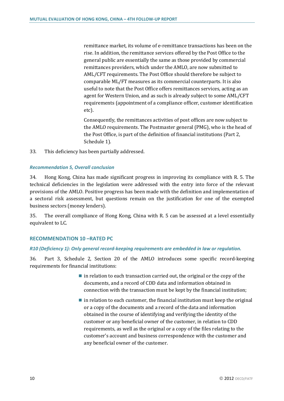remittance market, its volume of e-remittance transactions has been on the rise. In addition, the remittance services offered by the Post Office to the general public are essentially the same as those provided by commercial remittances providers, which under the AMLO, are now submitted to AML/CFT requirements. The Post Office should therefore be subject to comparable ML/FT measures as its commercial counterparts. It is also useful to note that the Post Office offers remittances services, acting as an agent for Western Union, and as such is already subject to some AML/CFT requirements (appointment of a compliance officer, customer identification etc).

Consequently, the remittances activities of post offices are now subject to the AMLO requirements. The Postmaster general (PMG), who is the head of the Post Office, is part of the definition of financial institutions (Part 2, Schedule 1).

33. This deficiency has been partially addressed.

#### *Recommendation 5, Overall conclusion*

34. Hong Kong, China has made significant progress in improving its compliance with R. 5. The technical deficiencies in the legislation were addressed with the entry into force of the relevant provisions of the AMLO. Positive progress has been made with the definition and implementation of a sectoral risk assessment, but questions remain on the justification for one of the exempted business sectors (money lenders).

35. The overall compliance of Hong Kong, China with R. 5 can be assessed at a level essentially equivalent to LC.

#### **RECOMMENDATION 10 –RATED PC**

#### *R10 (Deficiency 1): Only general record-keeping requirements are embedded in law or regulation.*

36. Part 3, Schedule 2, Section 20 of the AMLO introduces some specific record-keeping requirements for financial institutions:

- $\blacksquare$  in relation to each transaction carried out, the original or the copy of the documents, and a record of CDD data and information obtained in connection with the transaction must be kept by the financial institution;
- $\blacksquare$  in relation to each customer, the financial institution must keep the original or a copy of the documents and a record of the data and information obtained in the course of identifying and verifying the identity of the customer or any beneficial owner of the customer, in relation to CDD requirements, as well as the original or a copy of the files relating to the customer's account and business correspondence with the customer and any beneficial owner of the customer.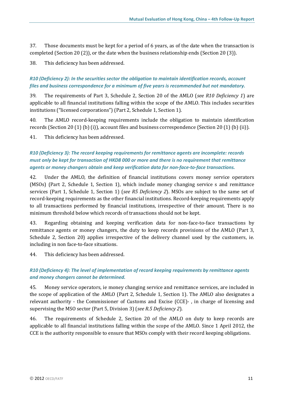37. Those documents must be kept for a period of 6 years, as of the date when the transaction is completed (Section 20 (2)), or the date when the business relationship ends (Section 20 (3)).

38. This deficiency has been addressed.

## *R10 (Deficiency 2): In the securities sector the obligation to maintain identification records, account files and business correspondence for a minimum of five years is recommended but not mandatory.*

39. The requirements of Part 3, Schedule 2, Section 20 of the AMLO (*see R10 Deficiency 1*) are applicable to all financial institutions falling within the scope of the AMLO. This includes securities institutions ("licensed corporations") (Part 2, Schedule 1, Section 1).

40. The AMLO record-keeping requirements include the obligation to maintain identification records (Section 20 (1) (b) (i)), account files and business correspondence (Section 20 (1) (b) (ii)).

41. This deficiency has been addressed.

## *R10 (Deficiency 3): The record keeping requirements for remittance agents are incomplete: records must only be kept for transaction of HKD8 000 or more and there is no requirement that remittance agents or money changers obtain and keep verification data for non-face-to-face transactions.*

42. Under the AMLO, the definition of financial institutions covers money service operators (MSOs) (Part 2, Schedule 1, Section 1), which include money changing service s and remittance services (Part 1, Schedule 1, Section 1) (*see R5 Deficiency 2*). MSOs are subject to the same set of record-keeping requirements as the other financial institutions. Record-keeping requirements apply to all transactions performed by financial institutions, irrespective of their amount. There is no minimum threshold below which records of transactions should not be kept.

43. Regarding obtaining and keeping verification data for non-face-to-face transactions by remittance agents or money changers, the duty to keep records provisions of the AMLO (Part 3, Schedule 2, Section 20) applies irrespective of the delivery channel used by the customers, ie. including in non face-to-face situations.

44. This deficiency has been addressed.

## *R10 (Deficiency 4): The level of implementation of record keeping requirements by remittance agents and money changers cannot be determined.*

45. Money service operators, ie money changing service and remittance services, are included in the scope of application of the AMLO (Part 2, Schedule 1, Section 1). The AMLO also designates a relevant authority - the Commissioner of Customs and Excise (CCE)- , in charge of licensing and supervising the MSO sector (Part 5, Division 3) (*see R.5 Deficiency 2*).

46. The requirements of Schedule 2, Section 20 of the AMLO on duty to keep records are applicable to all financial institutions falling within the scope of the AMLO. Since 1 April 2012, the CCE is the authority responsible to ensure that MSOs comply with their record keeping obligations.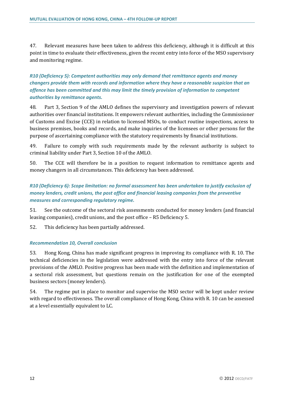47. Relevant measures have been taken to address this deficiency, although it is difficult at this point in time to evaluate their effectiveness, given the recent entry into force of the MSO supervisory and monitoring regime.

## *R10 (Deficiency 5): Competent authorities may only demand that remittance agents and money changers provide them with records and information where they have a reasonable suspicion that an offence has been committed and this may limit the timely provision of information to competent authorities by remittance agents.*

48. Part 3, Section 9 of the AMLO defines the supervisory and investigation powers of relevant authorities over financial institutions. It empowers relevant authorities, including the Commissioner of Customs and Excise (CCE) in relation to licensed MSOs, to conduct routine inspections, access to business premises, books and records, and make inquiries of the licensees or other persons for the purpose of ascertaining compliance with the statutory requirements by financial institutions.

49. Failure to comply with such requirements made by the relevant authority is subject to criminal liability under Part 3, Section 10 of the AMLO.

50. The CCE will therefore be in a position to request information to remittance agents and money changers in all circumstances. This deficiency has been addressed.

## *R10 (Deficiency 6): Scope limitation: no formal assessment has been undertaken to justify exclusion of money lenders, credit unions, the post office and financial leasing companies from the preventive measures and corresponding regulatory regime.*

51. See the outcome of the sectoral risk assessments conducted for money lenders (and financial leasing companies), credit unions, and the post office – R5 Deficiency 5.

52. This deficiency has been partially addressed.

#### *Recommendation 10, Overall conclusion*

53. Hong Kong, China has made significant progress in improving its compliance with R. 10. The technical deficiencies in the legislation were addressed with the entry into force of the relevant provisions of the AMLO. Positive progress has been made with the definition and implementation of a sectoral risk assessment, but questions remain on the justification for one of the exempted business sectors (money lenders).

54. The regime put in place to monitor and supervise the MSO sector will be kept under review with regard to effectiveness. The overall compliance of Hong Kong, China with R. 10 can be assessed at a level essentially equivalent to LC.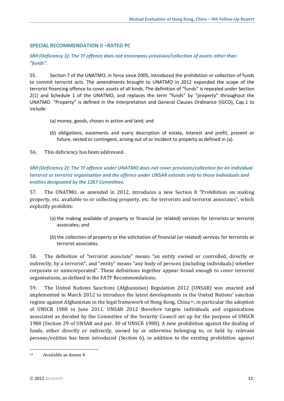#### **SPECIAL RECOMMENDATION II –RATED PC**

## *SRII (Deficiency 1): The TF offence does not encompass provision/collection of assets other than "funds".*

55. Section 7 of the UNATMO, in force since 2005, introduced the prohibition or collection of funds to commit terrorist acts. The amendments brought to UNATMO in 2012 expanded the scope of the terrorist financing offence to cover assets of all kinds. The definition of "funds" is repealed under Section 2(1) and Schedule 1 of the UNATMO, and replaces the term "funds" by "property" throughout the UNATMO. "Property" is defined in the Interpretation and General Clauses Ordinance (IGCO), Cap.1 to include:

- (a) money, goods, choses in action and land; and
- (b) obligations, easements and every description of estate, interest and profit, present or future, vested or contingent, arising out of or incident to property as defined in (a).
- 56. This deficiency has been addressed.

## *SRII (Deficiency 2): The TF offence under UNATMO does not cover provision/collection for an individual terrorist or terrorist organisation and the offence under UNSAR extends only to those individuals and entities designated by the 1267 Committee.*

57. The UNATMO, as amended in 2012, introduces a new Section 8 "Prohibition on making property, etc. available to or collecting property, etc. for terrorists and terrorist associates", which explicitly prohibits:

- (a) the making available of property or financial (or related) services for terrorists or terrorist associates; and
- (b)the collection of property or the solicitation of financial (or related) services for terrorists or terrorist associates.

58. The definition of "terrorist associate" means "an entity owned or controlled, directly or indirectly, by a terrorist", and "entity" means "any body of persons (including individuals) whether corporate or unincorporated". These definitions together appear broad enough to cover terrorist organisations, as defined in the FATF Recommendations.

59. The United Nations Sanctions (Afghanistan) Regulation 2012 (UNSAR) was enacted and implemented in March 2012 to introduce the latest developments in the United Nations' sanction regime against Afghanistan in the legal framework of Hong Kong, China[12,](#page-13-0) in particular the adoption of UNSCR 1988 in June 2011. UNSAR 2012 therefore targets individuals and organisations associated as decided by the Committee of the Security Council set up for the purpose of UNSCR 1988 (Section 29 of UNSAR and par. 30 of UNSCR 1988). A new prohibition against the dealing of funds, either directly or indirectly, owned by or otherwise belonging to, or held by relevant persons/entities has been introduced (Section 6), in addition to the existing prohibition against

<span id="page-13-0"></span> $\overline{a}$ <sup>12</sup> Available as Annex 4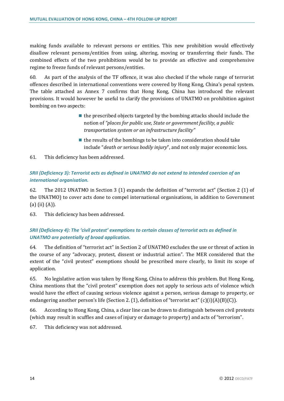making funds available to relevant persons or entities. This new prohibition would effectively disallow relevant persons/entities from using, altering, moving or transferring their funds. The combined effects of the two prohibitions would be to provide an effective and comprehensive regime to freeze funds of relevant persons/entities.

60. As part of the analysis of the TF offence, it was also checked if the whole range of terrorist offences described in international conventions were covered by Hong Kong, China's penal system. The table attached as Annex 7 confirms that Hong Kong, China has introduced the relevant provisions. It would however be useful to clarify the provisions of UNATMO on prohibition against bombing on two aspects:

- $\blacksquare$  the prescribed objects targeted by the bombing attacks should include the notion of *"places for public use, State or government facility, a public transportation system or an infrastructure facility"*
- $\blacksquare$  the results of the bombings to be taken into consideration should take include "*death or serious bodily injury*", and not only major economic loss.
- 61. This deficiency has been addressed.

## *SRII (Deficiency 3): Terrorist acts as defined in UNATMO do not extend to intended coercion of an international organisation.*

62. The 2012 UNATMO in Section 3 (1) expands the definition of "terrorist act" (Section 2 (1) of the UNATMO) to cover acts done to compel international organisations, in addition to Government (a) (ii) (A)).

63. This deficiency has been addressed.

## *SRII (Deficiency 4): The 'civil protest' exemptions to certain classes of terrorist acts as defined in UNATMO are potentially of broad application.*

64. The definition of "terrorist act" in Section 2 of UNATMO excludes the use or threat of action in the course of any "advocacy, protest, dissent or industrial action". The MER considered that the extent of the "civil protest" exemptions should be prescribed more clearly, to limit its scope of application.

65. No legislative action was taken by Hong Kong, China to address this problem. But Hong Kong, China mentions that the "civil protest" exemption does not apply to serious acts of violence which would have the effect of causing serious violence against a person, serious damage to property, or endangering another person's life (Section 2. (1), definition of "terrorist act" (c)(i)(A)(B)(C)).

66. According to Hong Kong, China, a clear line can be drawn to distinguish between civil protests (which may result in scuffles and cases of injury or damage to property) and acts of "terrorism".

67. This deficiency was not addressed.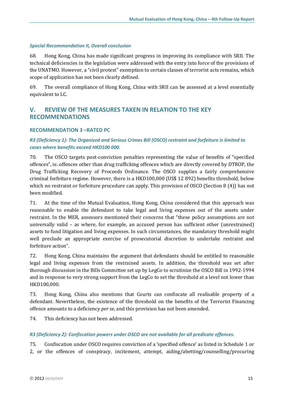#### *Special Recommendation II, Overall conclusion*

68. Hong Kong, China has made significant progress in improving its compliance with SRII. The technical deficiencies in the legislation were addressed with the entry into force of the provisions of the UNATMO. However, a "civil protest" exemption to certain classes of terrorist acts remains, which scope of application has not been clearly defined.

69. The overall compliance of Hong Kong, China with SRII can be assessed at a level essentially equivalent to LC.

## **V. REVIEW OF THE MEASURES TAKEN IN RELATION TO THE KEY RECOMMENDATIONS**

#### **RECOMMENDATION 3 –RATED PC**

## *R3 (Deficiency 1): The Organized and Serious Crimes Bill (OSCO) restraint and forfeiture is limited to cases where benefits exceed HKD100 000.*

70. The OSCO targets post-conviction penalties representing the value of benefits of "specified offences", ie. offences other than drug trafficking offences which are directly covered by DTROP, the Drug Trafficking Recovery of Proceeds Ordinance. The OSCO supplies a fairly comprehensive criminal forfeiture regime. However, there is a HKD100,000 (US\$ 12 892) benefits threshold, below which no restraint or forfeiture procedure can apply. This provision of OSCO (Section 8 (4)) has not been modified.

71. At the time of the Mutual Evaluation, Hong Kong, China considered that this approach was reasonable to enable the defendant to take legal and living expenses out of the assets under restraint. In the MER, assessors mentioned their concerns that "these policy assumptions are not universally valid – as where, for example, an accused person has sufficient other (unrestrained) assets to fund litigation and living expenses. In such circumstances, the mandatory threshold might well preclude an appropriate exercise of prosecutorial discretion to undertake restraint and forfeiture action".

72. Hong Kong, China maintains the argument that defendants should be entitled to reasonable legal and living expenses from the restrained assets. In addition, the threshold was set after thorough discussion in the Bills Committee set up by LegCo to scrutinize the OSCO Bill in 1992-1994 and in response to very strong support from the LegCo to set the threshold at a level not lower than HKD100,000.

73. Hong Kong, China also mentions that Courts can confiscate all realisable property of a defendant. Nevertheless, the existence of the threshold on the benefits of the Terrorist Financing offence amounts to a deficiency *per se*, and this provision has not been amended.

74. This deficiency has not been addressed.

#### *R3 (Deficiency 2): Confiscation powers under OSCO are not available for all predicate offences.*

75. Confiscation under OSCO requires conviction of a 'specified offence' as listed in Schedule 1 or 2, or the offences of conspiracy, incitement, attempt, aiding/abetting/counselling/procuring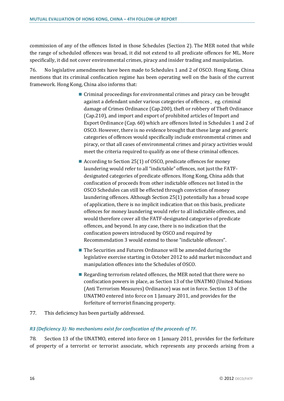commission of any of the offences listed in those Schedules (Section 2). The MER noted that while the range of scheduled offences was broad, it did not extend to all predicate offences for ML. More specifically, it did not cover environmental crimes, piracy and insider trading and manipulation.

76. No legislative amendments have been made to Schedules 1 and 2 of OSCO. Hong Kong, China mentions that its criminal confiscation regime has been operating well on the basis of the current framework. Hong Kong, China also informs that:

- Criminal proceedings for environmental crimes and piracy can be brought against a defendant under various categories of offences, eg. criminal damage of Crimes Ordinance (Cap.200), theft or robbery of Theft Ordinance (Cap.210), and import and export of prohibited articles of Import and Export Ordinance (Cap. 60) which are offences listed in Schedules 1 and 2 of OSCO. However, there is no evidence brought that these large and generic categories of offences would specifically include environmental crimes and piracy, or that all cases of environmental crimes and piracy activities would meet the criteria required to qualify as one of these criminal offences.
- According to Section 25(1) of OSCO, predicate offences for money laundering would refer to all "indictable" offences, not just the FATFdesignated categories of predicate offences. Hong Kong, China adds that confiscation of proceeds from other indictable offences not listed in the OSCO Schedules can still be effected through conviction of money laundering offences. Although Section 25(1) potentially has a broad scope of application, there is no implicit indication that on this basis, predicate offences for money laundering would refer to all indictable offences, and would therefore cover all the FATF-designated categories of predicate offences, and beyond. In any case, there is no indication that the confiscation powers introduced by OSCO and required by Recommendation 3 would extend to those "indictable offences".
- The Securities and Futures Ordinance will be amended during the legislative exercise starting in October 2012 to add market misconduct and manipulation offences into the Schedules of OSCO.
- Regarding terrorism related offences, the MER noted that there were no confiscation powers in place, as Section 13 of the UNATMO (United Nations (Anti Terrorism Measures) Ordinance) was not in force. Section 13 of the UNATMO entered into force on 1 January 2011, and provides for the forfeiture of terrorist financing property.
- 77. This deficiency has been partially addressed.

#### *R3 (Deficiency 3): No mechanisms exist for confiscation of the proceeds of TF.*

78. Section 13 of the UNATMO, entered into force on 1 January 2011, provides for the forfeiture of property of a terrorist or terrorist associate, which represents any proceeds arising from a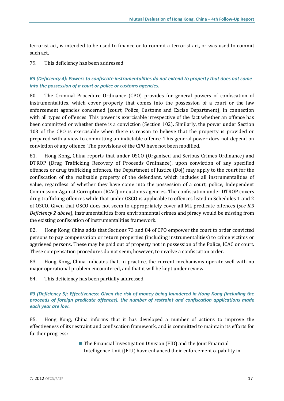terrorist act, is intended to be used to finance or to commit a terrorist act, or was used to commit such act.

79. This deficiency has been addressed.

## *R3 (Deficiency 4): Powers to confiscate instrumentalities do not extend to property that does not come into the possession of a court or police or customs agencies.*

80. The Criminal Procedure Ordinance (CPO) provides for general powers of confiscation of instrumentalities, which cover property that comes into the possession of a court or the law enforcement agencies concerned (court, Police, Customs and Excise Department), in connection with all types of offences. This power is exercisable irrespective of the fact whether an offence has been committed or whether there is a conviction (Section 102). Similarly, the power under Section 103 of the CPO is exercisable when there is reason to believe that the property is provided or prepared with a view to committing an indictable offence. This general power does not depend on conviction of any offence. The provisions of the CPO have not been modified.

81. Hong Kong, China reports that under OSCO (Organised and Serious Crimes Ordinance) and DTROP (Drug Trafficking Recovery of Proceeds Ordinance), upon conviction of any specified offences or drug trafficking offences, the Department of Justice (DoJ) may apply to the court for the confiscation of the realizable property of the defendant, which includes all instrumentalities of value, regardless of whether they have come into the possession of a court, police, Independent Commission Against Corruption (ICAC) or customs agencies. The confiscation under DTROP covers drug trafficking offences while that under OSCO is applicable to offences listed in Schedules 1 and 2 of OSCO. Given that OSCO does not seem to appropriately cover all ML predicate offences (*see R.3 Deficiency 2 above*), instrumentalities from environmental crimes and piracy would be missing from the existing confiscation of instrumentalities framework.

82. Hong Kong, China adds that Sections 73 and 84 of CPO empower the court to order convicted persons to pay compensation or return properties (including instrumentalities) to crime victims or aggrieved persons. These may be paid out of property not in possession of the Police, ICAC or court. These compensation procedures do not seem, however, to involve a confiscation order.

83. Hong Kong, China indicates that, in practice, the current mechanisms operate well with no major operational problem encountered, and that it will be kept under review.

84. This deficiency has been partially addressed.

#### *R3 (Deficiency 5): Effectiveness: Given the risk of money being laundered in Hong Kong (including the proceeds of foreign predicate offences), the number of restraint and confiscation applications made each year are low.*

85. Hong Kong, China informs that it has developed a number of actions to improve the effectiveness of its restraint and confiscation framework, and is committed to maintain its efforts for further progress:

> $\blacksquare$  The Financial Investigation Division (FID) and the Joint Financial Intelligence Unit (JFIU) have enhanced their enforcement capability in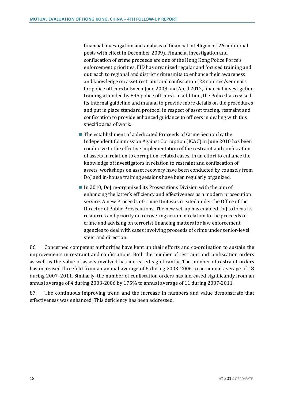financial investigation and analysis of financial intelligence (26 additional posts with effect in December 2009). Financial investigation and confiscation of crime proceeds are one of the Hong Kong Police Force's enforcement priorities. FID has organized regular and focused training and outreach to regional and district crime units to enhance their awareness and knowledge on asset restraint and confiscation (23 courses/seminars for police officers between June 2008 and April 2012, financial investigation training attended by 845 police officers). In addition, the Police has revised its internal guideline and manual to provide more details on the procedures and put in place standard protocol in respect of asset tracing, restraint and confiscation to provide enhanced guidance to officers in dealing with this specific area of work.

- The establishment of a dedicated Proceeds of Crime Section by the Independent Commission Against Corruption (ICAC) in June 2010 has been conducive to the effective implementation of the restraint and confiscation of assets in relation to corruption-related cases. In an effort to enhance the knowledge of investigators in relation to restraint and confiscation of assets, workshops on asset recovery have been conducted by counsels from DoJ and in-house training sessions have been regularly organized.
- $\blacksquare$  In 2010, DoJ re-organised its Prosecutions Division with the aim of enhancing the latter's efficiency and effectiveness as a modern prosecution service. A new Proceeds of Crime Unit was created under the Office of the Director of Public Prosecutions. The new set-up has enabled DoJ to focus its resources and priority on recovering action in relation to the proceeds of crime and advising on terrorist financing matters for law enforcement agencies to deal with cases involving proceeds of crime under senior-level steer and direction.

86. Concerned competent authorities have kept up their efforts and co-ordination to sustain the improvements in restraint and confiscations. Both the number of restraint and confiscation orders as well as the value of assets involved has increased significantly. The number of restraint orders has increased threefold from an annual average of 6 during 2003-2006 to an annual average of 18 during 2007–2011. Similarly, the number of confiscation orders has increased significantly from an annual average of 4 during 2003-2006 by 175% to annual average of 11 during 2007-2011.

87. The continuous improving trend and the increase in numbers and value demonstrate that effectiveness was enhanced. This deficiency has been addressed.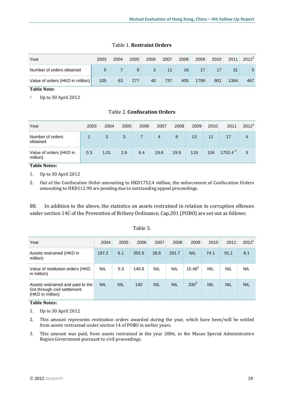| Year                             | 2003 | 2004 | 2005 | 2006 | 2007 | 2008 | 2009 | 2010 | 2011 | $2012^1$ |
|----------------------------------|------|------|------|------|------|------|------|------|------|----------|
| Number of orders obtained        | 5    |      | 9    | 3    | 11   | 16   | 17   |      | 31   | 5        |
| Value of orders (HKD in million) | 105  | 63   | 277  | 40   | 737  | 405  | 1799 | 901  | 1364 | 467      |

#### Table 1. **Restraint Orders**

**Table Note:** 

1. Up to 30 April 2012

| Year                                | 2003 | 2004 | 2005 | 2006 | 2007 | 2008 | 2009 | 2010 | 2011        | $2012^1$ |
|-------------------------------------|------|------|------|------|------|------|------|------|-------------|----------|
| Number of orders<br>obtained        |      | 3    | 3    |      | 4    | 8    | 13   | 11   | 17          | 4        |
| Value of orders (HKD in<br>million) | 0.3  | 1.01 | 2.6  | 6.4  | 19.8 | 19.9 | 119  | 104  | 1752.4 $^2$ | 3        |

Table 2. **Confiscation Orders**

#### **Table Notes:**

1. Up to 30 April 2012

2. Out of the Confiscation Order amounting to HKD1752.4 million, the enforcement of Confiscation Orders amounting to HKD112.90 are pending due to outstanding appeal proceedings.

88. In addition to the above, the statistics on assets restrained in relation to corruption offences under section 14C of the Prevention of Bribery Ordinance, Cap.201 (POBO) are set out as follows:

| Year                                                                                  | 2004       | 2005       | 2006  | 2007       | 2008       | 2009             | 2010       | 2011       | 2012 <sup>1</sup> |
|---------------------------------------------------------------------------------------|------------|------------|-------|------------|------------|------------------|------------|------------|-------------------|
| Assets restrained (HKD in<br>million)                                                 | 197.2      | 6.1        | 355.5 | 28.6       | 291.7      | <b>NIL</b>       | 74.1       | 91.1       | 8.1               |
| Value of restitution orders (HKD)<br>in million)                                      | <b>NIL</b> | 5.3        | 140.6 | <b>NIL</b> | <b>NIL</b> | $15.48^{2}$      | <b>NIL</b> | <b>NIL</b> | <b>NIL</b>        |
| Assets restrained and paid to the<br>Gvt through civil settlement<br>(HKD in million) | <b>NIL</b> | <b>NIL</b> | 140   | <b>NIL</b> | <b>NIL</b> | 330 <sup>3</sup> | <b>NIL</b> | <b>NIL</b> | <b>NIL</b>        |

## Table 3.

#### **Table Notes:**

1. Up to 30 April 2012

- 2. This amount represents restitution orders awarded during the year, which have been/will be settled from assets restrained under section 14 of POBO in earlier years.
- 3. This amount was paid, from assets restrained in the year 2006, to the Macao Special Administrative Region Government pursuant to civil proceedings.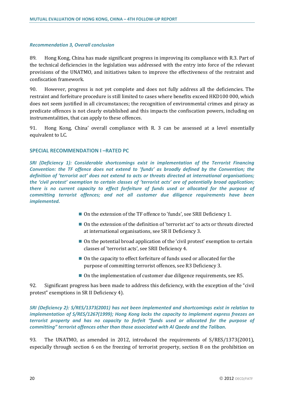#### *Recommendation 3, Overall conclusion*

89. Hong Kong, China has made significant progress in improving its compliance with R.3. Part of the technical deficiencies in the legislation was addressed with the entry into force of the relevant provisions of the UNATMO, and initiatives taken to improve the effectiveness of the restraint and confiscation framework.

90. However, progress is not yet complete and does not fully address all the deficiencies. The restraint and forfeiture procedure is still limited to cases where benefits exceed HKD100 000, which does not seem justified in all circumstances; the recognition of environmental crimes and piracy as predicate offences is not clearly established and this impacts the confiscation powers, including on instrumentalities, that can apply to these offences.

91. Hong Kong, China' overall compliance with R. 3 can be assessed at a level essentially equivalent to LC.

#### **SPECIAL RECOMMENDATION I –RATED PC**

*SRI (Deficiency 1): Considerable shortcomings exist in implementation of the Terrorist Financing Convention: the TF offence does not extend to 'funds' as broadly defined by the Convention; the definition of 'terrorist act' does not extend to acts or threats directed at international organisations; the 'civil protest' exemption to certain classes of 'terrorist acts' are of potentially broad application; there is no current capacity to effect forfeiture of funds used or allocated for the purpose of committing terrorist offences; and not all customer due diligence requirements have been implemented.* 

- On the extension of the TF offence to 'funds', see SRII Deficiency 1.
- On the extension of the definition of 'terrorist act' to acts or threats directed at international organisations, see SR II Deficiency 3.
- On the potential broad application of the 'civil protest' exemption to certain classes of 'terrorist acts', see SRII Deficiency 4.
- On the capacity to effect forfeiture of funds used or allocated for the purpose of committing terrorist offences, see R3 Deficiency 3.
- On the implementation of customer due diligence requirements, see R5.

92. Significant progress has been made to address this deficiency, with the exception of the "civil protest" exemptions in SR II Deficiency 4).

*SRI (Deficiency 2): S/RES/1373(2001) has not been implemented and shortcomings exist in relation to implementation of S/RES/1267(1999); Hong Kong lacks the capacity to implement express freezes on terrorist property and has no capacity to forfeit "funds used or allocated for the purpose of committing" terrorist offences other than those associated with Al Qaeda and the Taliban.*

93. The UNATMO, as amended in 2012, introduced the requirements of S/RES/1373(2001), especially through section 6 on the freezing of terrorist property, section 8 on the prohibition on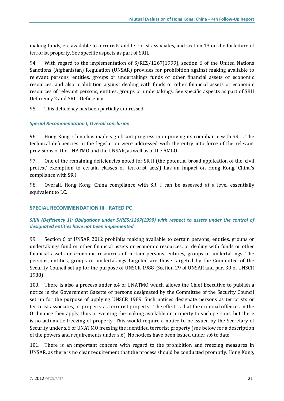making funds, etc available to terrorists and terrorist associates, and section 13 on the forfeiture of terrorist property. See specific aspects as part of SRII.

94. With regard to the implementation of S/RES/1267(1999), section 6 of the United Nations Sanctions (Afghanistan) Regulation (UNSAR) provides for prohibition against making available to relevant persons, entities, groups or undertakings funds or other financial assets or economic resources, and also prohibition against dealing with funds or other financial assets or economic resources of relevant persons, entities, groups or undertakings. See specific aspects as part of SRII Deficiency 2 and SRIII Deficiency 1.

95. This deficiency has been partially addressed.

#### *Special Recommendation I, Overall conclusion*

96. Hong Kong, China has made significant progress in improving its compliance with SR. I. The technical deficiencies in the legislation were addressed with the entry into force of the relevant provisions of the UNATMO and the UNSAR, as well as of the AMLO.

97. One of the remaining deficiencies noted for SR II (the potential broad application of the 'civil protest' exemption to certain classes of 'terrorist acts') has an impact on Hong Kong, China's compliance with SR I.

98. Overall, Hong Kong, China compliance with SR. I can be assessed at a level essentially equivalent to LC.

#### **SPECIAL RECOMMENDATION III –RATED PC**

## *SRIII (Deficiency 1): Obligations under S/RES/1267(1999) with respect to assets under the control of designated entities have not been implemented.*

99. Section 6 of UNSAR 2012 prohibits making available to certain persons, entities, groups or undertakings fund or other financial assets or economic resources, or dealing with funds or other financial assets or economic resources of certain persons, entities, groups or undertakings. The persons, entities, groups or undertakings targeted are those targeted by the Committee of the Security Council set up for the purpose of UNSCR 1988 (Section 29 of UNSAR and par. 30 of UNSCR 1988).

100. There is also a process under s.4 of UNATMO which allows the Chief Executive to publish a notice in the Government Gazette of persons designated by the Committee of the Security Council set up for the purpose of applying UNSCR 1989. Such notices designate persons as terrorists or terrorist associates, or property as terrorist property. The effect is that the criminal offences in the Ordinance then apply, thus preventing the making available or property to such persons, but there is no automatic freezing of property. This would require a notice to be issued by the Secretary of Security under s.6 of UNATMO freezing the identified terrorist property (see below for a description of the powers and requirements under s.6). No notices have been issued under s.6 to date.

101. There is an important concern with regard to the prohibition and freezing measures in UNSAR, as there is no clear requirement that the process should be conducted promptly. Hong Kong,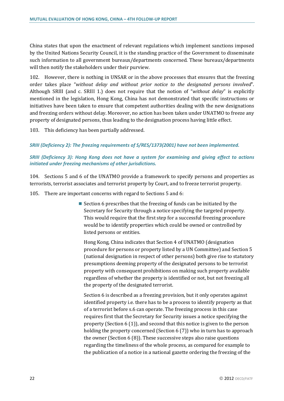China states that upon the enactment of relevant regulations which implement sanctions imposed by the United Nations Security Council, it is the standing practice of the Government to disseminate such information to all government bureaux/departments concerned. These bureaux/departments will then notify the stakeholders under their purview.

102. However, there is nothing in UNSAR or in the above processes that ensures that the freezing order takes place "*without delay and without prior notice to the designated persons involved*". Although SRIII (and c. SRIII 1.) does not require that the notion of "*without delay*" is explicitly mentioned in the legislation, Hong Kong, China has not demonstrated that specific instructions or initiatives have been taken to ensure that competent authorities dealing with the new designations and freezing orders without delay. Moreover, no action has been taken under UNATMO to freeze any property of designated persons, thus leading to the designation process having little effect.

103. This deficiency has been partially addressed.

#### *SRIII (Deficiency 2): The freezing requirements of S/RES/1373(2001) have not been implemented.*

## *SRIII (Deficiency 3): Hong Kong does not have a system for examining and giving effect to actions initiated under freezing mechanisms of other jurisdictions.*

104. Sections 5 and 6 of the UNATMO provide a framework to specify persons and properties as terrorists, terrorist associates and terrorist property by Court, and to freeze terrorist property.

105. There are important concerns with regard to Sections 5 and 6:

Section 6 prescribes that the freezing of funds can be initiated by the Secretary for Security through a notice specifying the targeted property. This would require that the first step for a successful freezing procedure would be to identify properties which could be owned or controlled by listed persons or entities.

Hong Kong, China indicates that Section 4 of UNATMO (designation procedure for persons or property listed by a UN Committee) and Section 5 (national designation in respect of other persons) both give rise to statutory presumptions deeming property of the designated persons to be terrorist property with consequent prohibitions on making such property available regardless of whether the property is identified or not, but not freezing all the property of the designated terrorist.

Section 6 is described as a freezing provision, but it only operates against identified property i.e. there has to be a process to identify property as that of a terrorist before s.6 can operate. The freezing process in this case requires first that the Secretary for Security issues a notice specifying the property (Section 6 (1)), and second that this notice is given to the person holding the property concerned (Section 6 (7)) who in turn has to approach the owner (Section 6 (8)). These successive steps also raise questions regarding the timeliness of the whole process, as compared for example to the publication of a notice in a national gazette ordering the freezing of the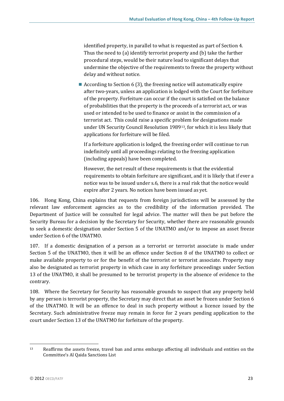identified property, in parallel to what is requested as part of Section 4. Thus the need to (a) identify terrorist property and (b) take the further procedural steps, would be their nature lead to significant delays that undermine the objective of the requirements to freeze the property without delay and without notice.

According to Section 6 (3), the freezing notice will automatically expire after two-years, unless an application is lodged with the Court for forfeiture of the property. Forfeiture can occur if the court is satisfied on the balance of probabilities that the property is the proceeds of a terrorist act, or was used or intended to be used to finance or assist in the commission of a terrorist act. This could raise a specific problem for designations made under UN Security Council Resolution 1989[13,](#page-23-0) for which it is less likely that applications for forfeiture will be filed.

If a forfeiture application is lodged, the freezing order will continue to run indefinitely until all proceedings relating to the freezing application (including appeals) have been completed.

However, the net result of these requirements is that the evidential requirements to obtain forfeiture are significant, and it is likely that if ever a notice was to be issued under s.6, there is a real risk that the notice would expire after 2 years. No notices have been issued as yet.

106. Hong Kong, China explains that requests from foreign jurisdictions will be assessed by the relevant law enforcement agencies as to the credibility of the information provided. The Department of Justice will be consulted for legal advice. The matter will then be put before the Security Bureau for a decision by the Secretary for Security, whether there are reasonable grounds to seek a domestic designation under Section 5 of the UNATMO and/or to impose an asset freeze under Section 6 of the UNATMO.

107. If a domestic designation of a person as a terrorist or terrorist associate is made under Section 5 of the UNATMO, then it will be an offence under Section 8 of the UNATMO to collect or make available property to or for the benefit of the terrorist or terrorist associate. Property may also be designated as terrorist property in which case in any forfeiture proceedings under Section 13 of the UNATMO, it shall be presumed to be terrorist property in the absence of evidence to the contrary.

108. Where the Secretary for Security has reasonable grounds to suspect that any property held by any person is terrorist property, the Secretary may direct that an asset be frozen under Section 6 of the UNATMO. It will be an offence to deal in such property without a licence issued by the Secretary. Such administrative freeze may remain in force for 2 years pending application to the court under Section 13 of the UNATMO for forfeiture of the property.

<span id="page-23-0"></span> $\overline{a}$ <sup>13</sup> Reaffirms the assets freeze, travel ban and arms embargo affecting all individuals and entities on the Committee's Al Qaida Sanctions List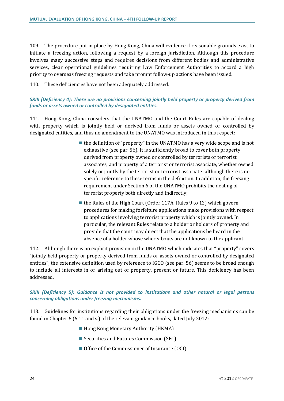109. The procedure put in place by Hong Kong, China will evidence if reasonable grounds exist to initiate a freezing action, following a request by a foreign jurisdiction. Although this procedure involves many successive steps and requires decisions from different bodies and administrative services, clear operational guidelines requiring Law Enforcement Authorities to accord a high priority to overseas freezing requests and take prompt follow-up actions have been issued.

110. These deficiencies have not been adequately addressed.

## *SRIII (Deficiency 4): There are no provisions concerning jointly held property or property derived from funds or assets owned or controlled by designated entities.*

111. Hong Kong, China considers that the UNATMO and the Court Rules are capable of dealing with property which is jointly held or derived from funds or assets owned or controlled by designated entities, and thus no amendment to the UNATMO was introduced in this respect:

- $\blacksquare$  the definition of "property" in the UNATMO has a very wide scope and is not exhaustive (see par. 56). It is sufficiently broad to cover both property derived from property owned or controlled by terrorists or terrorist associates, and property of a terrorist or terrorist associate, whether owned solely or jointly by the terrorist or terrorist associate -although there is no specific reference to these terms in the definition. In addition, the freezing requirement under Section 6 of the UNATMO prohibits the dealing of terrorist property both directly and indirectly;
- $\blacksquare$  the Rules of the High Court (Order 117A, Rules 9 to 12) which govern procedures for making forfeiture applications make provisions with respect to applications involving terrorist property which is jointly owned. In particular, the relevant Rules relate to a holder or holders of property and provide that the court may direct that the applications be heard in the absence of a holder whose whereabouts are not known to the applicant.

112. Although there is no explicit provision in the UNATMO which indicates that "property" covers "jointly held property or property derived from funds or assets owned or controlled by designated entities", the extensive definition used by reference to IGCO (see par. 56) seems to be broad enough to include all interests in or arising out of property, present or future. This deficiency has been addressed.

#### *SRIII (Deficiency 5): Guidance is not provided to institutions and other natural or legal persons concerning obligations under freezing mechanisms.*

113. Guidelines for institutions regarding their obligations under the freezing mechanisms can be found in Chapter 6 (6.11 and s.) of the relevant guidance books, dated July 2012:

- Hong Kong Monetary Authority (HKMA)
- Securities and Futures Commission (SFC)
- Office of the Commissioner of Insurance (OCI)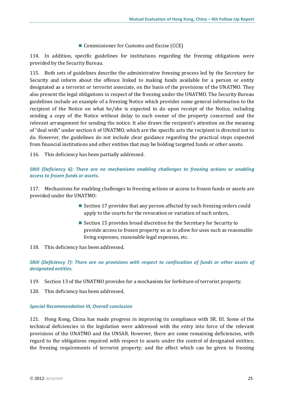■ Commissioner for Customs and Excise (CCE)

114. In addition, specific guidelines for institutions regarding the freezing obligations were provided by the Security Bureau.

115. Both sets of guidelines describe the administrative freezing process led by the Secretary for Security and inform about the offence linked to making funds available for a person or entity designated as a terrorist or terrorist associate, on the basis of the provisions of the UNATMO. They also present the legal obligations in respect of the freezing under the UNATMO. The Security Bureau guidelines include an example of a freezing Notice which provides some general information to the recipient of the Notice on what he/she is expected to do upon receipt of the Notice, including sending a copy of the Notice without delay to each owner of the property concerned and the relevant arrangement for sending the notice. It also draws the recipient's attention on the meaning of "deal with" under section 6 of UNATMO, which are the specific acts the recipient is directed not to do. However, the guidelines do not include clear guidance regarding the practical steps expected from financial institutions and other entities that may be holding targeted funds or other assets.

116. This deficiency has been partially addressed.

## *SRIII (Deficiency 6): There are no mechanisms enabling challenges to freezing actions or enabling access to frozen funds or assets.*

117. Mechanisms for enabling challenges to freezing actions or access to frozen funds or assets are provided under the UNATMO:

- Section 17 provides that any person affected by such freezing orders could apply to the courts for the revocation or variation of such orders,
- Section 15 provides broad discretion for the Secretary for Security to provide access to frozen property so as to allow for uses such as reasonable living expenses, reasonable legal expenses, etc.
- 118. This deficiency has been addressed.

*SRIII (Deficiency 7): There are no provisions with respect to confiscation of funds or other assets of designated entities.*

- 119. Section 13 of the UNATMO provides for a mechanism for forfeiture of terrorist property.
- 120. This deficiency has been addressed.

#### *Special Recommendation III, Overall conclusion*

121. Hong Kong, China has made progress in improving its compliance with SR. III. Some of the technical deficiencies in the legislation were addressed with the entry into force of the relevant provisions of the UNATMO and the UNSAR. However, there are some remaining deficiencies, with regard to the obligations required with respect to assets under the control of designated entities; the freezing requirements of terrorist property; and the effect which can be given to freezing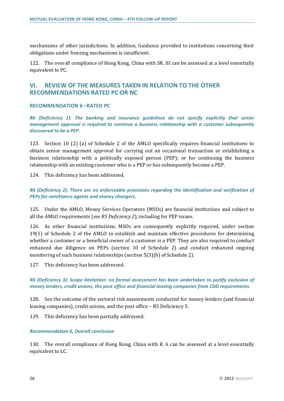mechanisms of other jurisdictions. In addition, Guidance provided to institutions concerning their obligations under freezing mechanisms is insufficient.

122. The overall compliance of Hong Kong, China with SR. III can be assessed at a level essentially equivalent to PC.

## **VI. REVIEW OF THE MEASURES TAKEN IN RELATION TO THE OTHER RECOMMENDATIONS RATED PC OR NC**

#### **RECOMMENDATION 6 –RATED PC**

*R6 (Deficiency 1): The banking and insurance guidelines do not specify explicitly that senior management approval is required to continue a business relationship with a customer subsequently discovered to be a PEP.* 

123. Section 10 (2) (a) of Schedule 2 of the AMLO specifically requires financial institutions to obtain senior management approval for carrying out an occasional transaction or establishing a business relationship with a politically exposed person (PEP); or for continuing the business relationship with an existing customer who is a PEP or has subsequently become a PEP.

124. This deficiency has been addressed.

*R6 (Deficiency 2): There are no enforceable provisions regarding the identification and verification of PEPs for remittance agents and money changers.* 

125. Under the AMLO, Money Services Operators (MSOs) are financial institutions and subject to all the AMLO requirements (*see R5 Deficiency 2*), including for PEP issues.

126. As other financial institutions, MSOs are consequently explicitly required, under section 19(1) of Schedule 2 of the AMLO to establish and maintain effective procedures for determining whether a customer or a beneficial owner of a customer is a PEP. They are also required to conduct enhanced due diligence on PEPs (section 10 of Schedule 2) and conduct enhanced ongoing monitoring of such business relationships (section 5(3)(b) of Schedule 2).

127. This deficiency has been addressed.

*R6 (Deficiency 3): Scope limitation: no formal assessment has been undertaken to justify exclusion of money lenders, credit unions, the post office and financial leasing companies from CDD requirements.* 

128. See the outcome of the sectoral risk assessments conducted for money lenders (and financial leasing companies), credit unions, and the post office – R5 Deficiency 5.

129. This deficiency has been partially addressed.

#### *Recommendation 6, Overall conclusion*

130. The overall compliance of Hong Kong, China with R. 6 can be assessed at a level essentially equivalent to LC.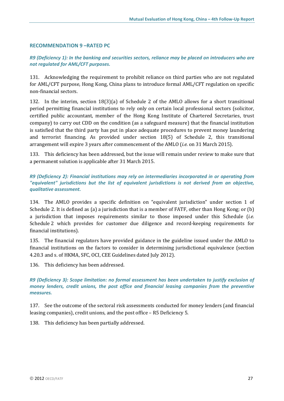#### **RECOMMENDATION 9 –RATED PC**

## *R9 (Deficiency 1): In the banking and securities sectors, reliance may be placed on introducers who are not regulated for AML/CFT purposes.*

131. Acknowledging the requirement to prohibit reliance on third parties who are not regulated for AML/CFT purpose, Hong Kong, China plans to introduce formal AML/CFT regulation on specific non-financial sectors.

132. In the interim, section 18(3)(a) of Schedule 2 of the AMLO allows for a short transitional period permitting financial institutions to rely only on certain local professional sectors (solicitor, certified public accountant, member of the Hong Kong Institute of Chartered Secretaries, trust company) to carry out CDD on the condition (as a safeguard measure) that the financial institution is satisfied that the third party has put in place adequate procedures to prevent money laundering and terrorist financing. As provided under section 18(5) of Schedule 2, this transitional arrangement will expire 3 years after commencement of the AMLO (*i.e.* on 31 March 2015).

133. This deficiency has been addressed, but the issue will remain under review to make sure that a permanent solution is applicable after 31 March 2015.

*R9 (Deficiency 2): Financial institutions may rely on intermediaries incorporated in or operating from "equivalent" jurisdictions but the list of equivalent jurisdictions is not derived from an objective, qualitative assessment.* 

134. The AMLO provides a specific definition on "equivalent jurisdiction" under section 1 of Schedule 2. It is defined as (a) a jurisdiction that is a member of FATF, other than Hong Kong; or (b) a jurisdiction that imposes requirements similar to those imposed under this Schedule (*i.e.* Schedule 2 which provides for customer due diligence and record-keeping requirements for financial institutions).

135. The financial regulators have provided guidance in the guideline issued under the AMLO to financial institutions on the factors to consider in determining jurisdictional equivalence (section 4.20.3 and s. of HKMA, SFC, OCI, CEE Guidelines dated July 2012).

136. This deficiency has been addressed.

*R9 (Deficiency 3): Scope limitation: no formal assessment has been undertaken to justify exclusion of money lenders, credit unions, the post office and financial leasing companies from the preventive measures.* 

137. See the outcome of the sectoral risk assessments conducted for money lenders (and financial leasing companies), credit unions, and the post office – R5 Deficiency 5.

138. This deficiency has been partially addressed.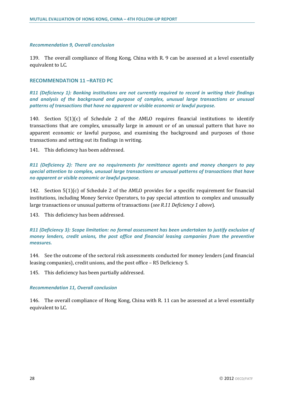#### *Recommendation 9, Overall conclusion*

139. The overall compliance of Hong Kong, China with R. 9 can be assessed at a level essentially equivalent to LC.

#### **RECOMMENDATION 11 –RATED PC**

*R11 (Deficiency 1): Banking institutions are not currently required to record in writing their findings and analysis of the background and purpose of complex, unusual large transactions or unusual patterns of transactions that have no apparent or visible economic or lawful purpose.* 

140. Section  $5(1)(c)$  of Schedule 2 of the AMLO requires financial institutions to identify transactions that are complex, unusually large in amount or of an unusual pattern that have no apparent economic or lawful purpose, and examining the background and purposes of those transactions and setting out its findings in writing.

141. This deficiency has been addressed.

*R11 (Deficiency 2): There are no requirements for remittance agents and money changers to pay special attention to complex, unusual large transactions or unusual patterns of transactions that have no apparent or visible economic or lawful purpose.* 

142. Section 5(1)(c) of Schedule 2 of the AMLO provides for a specific requirement for financial institutions, including Money Service Operators, to pay special attention to complex and unusually large transactions or unusual patterns of transactions (*see R.11 Deficiency 1 above*).

143. This deficiency has been addressed.

*R11 (Deficiency 3): Scope limitation: no formal assessment has been undertaken to justify exclusion of money lenders, credit unions, the post office and financial leasing companies from the preventive measures.* 

144. See the outcome of the sectoral risk assessments conducted for money lenders (and financial leasing companies), credit unions, and the post office – R5 Deficiency 5.

145. This deficiency has been partially addressed.

#### *Recommendation 11, Overall conclusion*

146. The overall compliance of Hong Kong, China with R. 11 can be assessed at a level essentially equivalent to LC.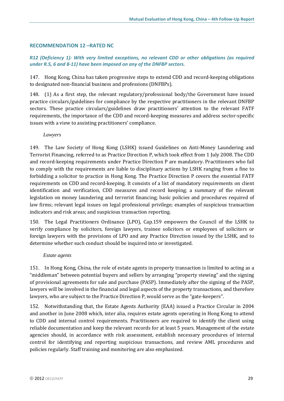#### **RECOMMENDATION 12 –RATED NC**

## *R12 (Deficiency 1): With very limited exceptions, no relevant CDD or other obligations (as required under R.5, 6 and 8-11) have been imposed on any of the DNFBP sectors.*

147. Hong Kong, China has taken progressive steps to extend CDD and record-keeping obligations to designated non-financial business and professions (DNFBPs).

148. (1) As a first step, the relevant regulatory/professional body/the Government have issued practice circulars/guidelines for compliance by the respective practitioners in the relevant DNFBP sectors. These practice circulars/guidelines draw practitioners' attention to the relevant FATF requirements, the importance of the CDD and record-keeping measures and address sector-specific issues with a view to assisting practitioners' compliance.

#### *Lawyers*

149. The Law Society of Hong Kong (LSHK) issued Guidelines on Anti-Money Laundering and Terrorist Financing, referred to as Practice Direction P, which took effect from 1 July 2008. The CDD and record-keeping requirements under Practice Direction P are mandatory. Practitioners who fail to comply with the requirements are liable to disciplinary actions by LSHK ranging from a fine to forbidding a solicitor to practice in Hong Kong. The Practice Direction P covers the essential FATF requirements on CDD and record-keeping. It consists of a list of mandatory requirements on client identification and verification, CDD measures and record keeping; a summary of the relevant legislation on money laundering and terrorist financing; basic policies and procedures required of law firms; relevant legal issues on legal professional privilege; examples of suspicious transaction indicators and risk areas; and suspicious transaction reporting.

150. The Legal Practitioners Ordinance (LPO), Cap.159 empowers the Council of the LSHK to verify compliance by solicitors, foreign lawyers, trainee solicitors or employees of solicitors or foreign lawyers with the provisions of LPO and any Practice Direction issued by the LSHK, and to determine whether such conduct should be inquired into or investigated.

#### *Estate agents*

151. In Hong Kong, China, the role of estate agents in property transaction is limited to acting as a "middleman" between potential buyers and sellers by arranging "property viewing" and the signing of provisional agreements for sale and purchase (PASP). Immediately after the signing of the PASP, lawyers will be involved in the financial and legal aspects of the property transactions, and therefore lawyers, who are subject to the Practice Direction P, would serve as the "gate-keepers".

152. Notwithstanding that, the Estate Agents Authority (EAA) issued a Practice Circular in 2004 and another in June 2008 which, inter alia, requires estate agents operating in Hong Kong to attend to CDD and internal control requirements. Practitioners are required to identify the client using reliable documentation and keep the relevant records for at least 5 years. Management of the estate agencies should, in accordance with risk assessment, establish necessary procedures of internal control for identifying and reporting suspicious transactions, and review AML procedures and policies regularly. Staff training and monitoring are also emphasized.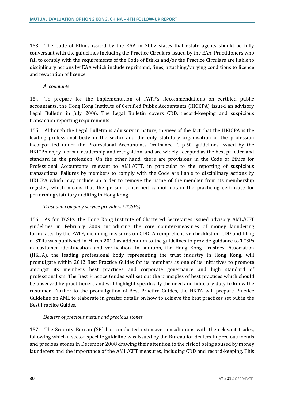153. The Code of Ethics issued by the EAA in 2002 states that estate agents should be fully conversant with the guidelines including the Practice Circulars issued by the EAA. Practitioners who fail to comply with the requirements of the Code of Ethics and/or the Practice Circulars are liable to disciplinary actions by EAA which include reprimand, fines, attaching/varying conditions to licence and revocation of licence.

#### *Accountants*

154. To prepare for the implementation of FATF's Recommendations on certified public accountants, the Hong Kong Institute of Certified Public Accountants (HKICPA) issued an advisory Legal Bulletin in July 2006. The Legal Bulletin covers CDD, record-keeping and suspicious transaction reporting requirements.

155. Although the Legal Bulletin is advisory in nature, in view of the fact that the HKICPA is the leading professional body in the sector and the only statutory organisation of the profession incorporated under the Professional Accountants Ordinance, Cap.50, guidelines issued by the HKICPA enjoy a broad readership and recognition, and are widely accepted as the best practice and standard in the profession. On the other hand, there are provisions in the Code of Ethics for Professional Accountants relevant to AML/CFT, in particular to the reporting of suspicious transactions. Failures by members to comply with the Code are liable to disciplinary actions by HKICPA which may include an order to remove the name of the member from its membership register, which means that the person concerned cannot obtain the practicing certificate for performing statutory auditing in Hong Kong.

#### *Trust and company service providers (TCSPs)*

156. As for TCSPs, the Hong Kong Institute of Chartered Secretaries issued advisory AML/CFT guidelines in February 2009 introducing the core counter-measures of money laundering formulated by the FATF, including measures on CDD. A comprehensive checklist on CDD and filing of STRs was published in March 2010 as addendum to the guidelines to provide guidance to TCSPs in customer identification and verification. In addition, the Hong Kong Trustees' Association (HKTA), the leading professional body representing the trust industry in Hong Kong, will promulgate within 2012 Best Practice Guides for its members as one of its initiatives to promote amongst its members best practices and corporate governance and high standard of professionalism. The Best Practice Guides will set out the principles of best practices which should be observed by practitioners and will highlight specifically the need and fiduciary duty to know the customer. Further to the promulgation of Best Practice Guides, the HKTA will prepare Practice Guideline on AML to elaborate in greater details on how to achieve the best practices set out in the Best Practice Guides.

#### *Dealers of precious metals and precious stones*

157. The Security Bureau (SB) has conducted extensive consultations with the relevant trades, following which a sector-specific guideline was issued by the Bureau for dealers in precious metals and precious stones in December 2008 drawing their attention to the risk of being abused by money launderers and the importance of the AML/CFT measures, including CDD and record-keeping. This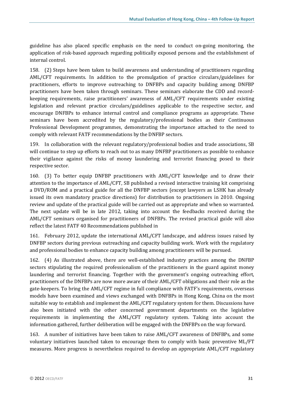guideline has also placed specific emphasis on the need to conduct on-going monitoring, the application of risk-based approach regarding politically exposed persons and the establishment of internal control.

158. (2) Steps have been taken to build awareness and understanding of practitioners regarding AML/CFT requirements. In addition to the promulgation of practice circulars/guidelines for practitioners, efforts to improve outreaching to DNFBPs and capacity building among DNFBP practitioners have been taken through seminars. These seminars elaborate the CDD and recordkeeping requirements, raise practitioners' awareness of AML/CFT requirements under existing legislation and relevant practice circulars/guidelines applicable to the respective sector, and encourage DNFBPs to enhance internal control and compliance programs as appropriate. These seminars have been accredited by the regulatory/professional bodies as their Continuous Professional Development programmes, demonstrating the importance attached to the need to comply with relevant FATF recommendations by the DNFBP sectors.

159. In collaboration with the relevant regulatory/professional bodies and trade associations, SB will continue to step up efforts to reach out to as many DNFBP practitioners as possible to enhance their vigilance against the risks of money laundering and terrorist financing posed to their respective sector.

160. (3) To better equip DNFBP practitioners with AML/CFT knowledge and to draw their attention to the importance of AML/CFT, SB published a revised interactive training kit comprising a DVD/ROM and a practical guide for all the DNFBP sectors (except lawyers as LSHK has already issued its own mandatory practice directions) for distribution to practitioners in 2010. Ongoing review and update of the practical guide will be carried out as appropriate and when so warranted. The next update will be in late 2012, taking into account the feedbacks received during the AML/CFT seminars organised for practitioners of DNFBPs. The revised practical guide will also reflect the latest FATF 40 Recommendations published in

161. February 2012, update the international AML/CFT landscape, and address issues raised by DNFBP sectors during previous outreaching and capacity building work. Work with the regulatory and professional bodies to enhance capacity building among practitioners will be pursued.

162. (4) As illustrated above, there are well-established industry practices among the DNFBP sectors stipulating the required professionalism of the practitioners in the guard against money laundering and terrorist financing. Together with the government's ongoing outreaching effort, practitioners of the DNFBPs are now more aware of their AML/CFT obligations and their role as the gate-keepers. To bring the AML/CFT regime in full compliance with FATF's requirements, overseas models have been examined and views exchanged with DNFBPs in Hong Kong, China on the most suitable way to establish and implement the AML/CFT regulatory system for them. Discussions have also been initiated with the other concerned government departments on the legislative requirements in implementing the AML/CFT regulatory system. Taking into account the information gathered, further deliberation will be engaged with the DNFBPs on the way forward.

163. A number of initiatives have been taken to raise AML/CFT awareness of DNFBPs, and some voluntary initiatives launched taken to encourage them to comply with basic preventive ML/FT measures. More progress is nevertheless required to develop an appropriate AML/CFT regulatory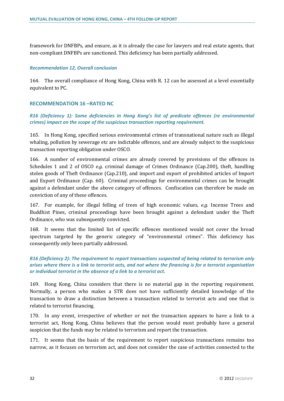framework for DNFBPs, and ensure, as it is already the case for lawyers and real estate agents, that non-compliant DNFBPs are sanctioned. This deficiency has been partially addressed.

#### *Recommendation 12, Overall conclusion*

164. The overall compliance of Hong Kong, China with R. 12 can be assessed at a level essentially equivalent to PC.

#### **RECOMMENDATION 16 –RATED NC**

*R16 (Deficiency 1): Some deficiencies in Hong Kong's list of predicate offences (re environmental crimes) impact on the scope of the suspicious transaction reporting requirement.* 

165. In Hong Kong, specified serious environmental crimes of transnational nature such as illegal whaling, pollution by sewerage etc are indictable offences, and are already subject to the suspicious transaction reporting obligation under OSCO.

166. A number of environmental crimes are already covered by provisions of the offences in Schedules 1 and 2 of OSCO *e.g.* criminal damage of Crimes Ordinance (Cap.200), theft, handling stolen goods of Theft Ordinance (Cap.210), and import and export of prohibited articles of Import and Export Ordinance (Cap. 60). Criminal proceedings for environmental crimes can be brought against a defendant under the above category of offences. Confiscation can therefore be made on conviction of any of these offences.

167. For example, for illegal felling of trees of high economic values, *e.g.* Incense Trees and Buddhist Pines, criminal proceedings have been brought against a defendant under the Theft Ordinance, who was subsequently convicted.

168. It seems that the limited list of specific offences mentioned would not cover the broad spectrum targeted by the generic category of "environmental crimes". This deficiency has consequently only been partially addressed.

#### *R16 (Deficiency 2): The requirement to report transactions suspected of being related to terrorism only arises where there is a link to terrorist acts, and not where the financing is for a terrorist organisation or individual terrorist in the absence of a link to a terrorist act.*

169. Hong Kong, China considers that there is no material gap in the reporting requirement. Normally, a person who makes a STR does not have sufficiently detailed knowledge of the transaction to draw a distinction between a transaction related to terrorist acts and one that is related to terrorist financing.

170. In any event, irrespective of whether or not the transaction appears to have a link to a terrorist act, Hong Kong, China believes that the person would most probably have a general suspicion that the funds may be related to terrorism and report the transaction.

171. It seems that the basis of the requirement to report suspicious transactions remains too narrow, as it focuses on terrorism act, and does not consider the case of activities connected to the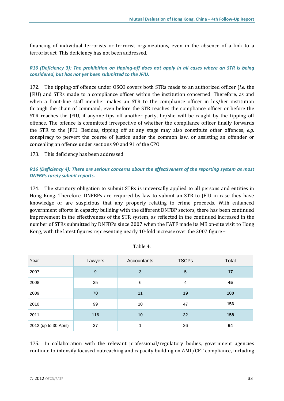financing of individual terrorists or terrorist organizations, even in the absence of a link to a terrorist act. This deficiency has not been addressed.

*R16 (Deficiency 3): The prohibition on tipping-off does not apply in all cases where an STR is being considered, but has not yet been submitted to the JFIU.* 

172. The tipping-off offence under OSCO covers both STRs made to an authorized officer (*i.e.* the JFIU) and STRs made to a compliance officer within the institution concerned. Therefore, as and when a front-line staff member makes an STR to the compliance officer in his/her institution through the chain of command, even before the STR reaches the compliance officer or before the STR reaches the JFIU, if anyone tips off another party, he/she will be caught by the tipping off offence. The offence is committed irrespective of whether the compliance officer finally forwards the STR to the JFIU. Besides, tipping off at any stage may also constitute other offences, *e.g.* conspiracy to pervert the course of justice under the common law, or assisting an offender or concealing an offence under sections 90 and 91 of the CPO.

#### 173. This deficiency has been addressed.

## *R16 (Deficiency 4): There are serious concerns about the effectiveness of the reporting system as most DNFBPs rarely submit reports.*

174. The statutory obligation to submit STRs is universally applied to all persons and entities in Hong Kong. Therefore, DNFBPs are required by law to submit an STR to JFIU in case they have knowledge or are suspicious that any property relating to crime proceeds. With enhanced government efforts in capacity building with the different DNFBP sectors, there has been continued improvement in the effectiveness of the STR system, as reflected in the continued increased in the number of STRs submitted by DNFBPs since 2007 when the FATF made its ME on-site visit to Hong Kong, with the latest figures representing nearly 10-fold increase over the 2007 figure –

| Year                  | Lawyers | Accountants | <b>TSCPs</b>   | Total |
|-----------------------|---------|-------------|----------------|-------|
| 2007                  | 9       | 3           | 5              | 17    |
| 2008                  | 35      | 6           | $\overline{4}$ | 45    |
| 2009                  | 70      | 11          | 19             | 100   |
| 2010                  | 99      | 10          | 47             | 156   |
| 2011                  | 116     | 10          | 32             | 158   |
| 2012 (up to 30 April) | 37      |             | 26             | 64    |

Table 4.

175. In collaboration with the relevant professional/regulatory bodies, government agencies continue to intensify focused outreaching and capacity building on AML/CFT compliance, including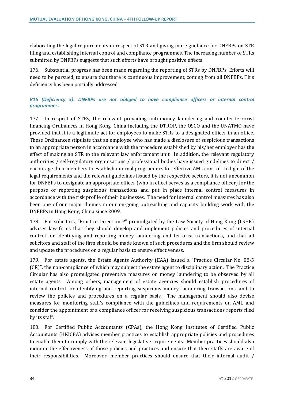elaborating the legal requirements in respect of STR and giving more guidance for DNFBPs on STR filing and establishing internal control and compliance programmes. The increasing number of STRs submitted by DNFBPs suggests that such efforts have brought positive effects.

176. Substantial progress has been made regarding the reporting of STRs by DNFBPs. Efforts will need to be pursued, to ensure that there is continuous improvement, coming from all DNFBPs. This deficiency has been partially addressed.

## *R16 (Deficiency 5): DNFBPs are not obliged to have compliance officers or internal control programmes.*

177. In respect of STRs, the relevant prevailing anti-money laundering and counter-terrorist financing Ordinances in Hong Kong, China including the DTROP, the OSCO and the UNATMO have provided that it is a legitimate act for employees to make STRs to a designated officer in an office. These Ordinances stipulate that an employee who has made a disclosure of suspicious transactions to an appropriate person in accordance with the procedure established by his/her employer has the effect of making an STR to the relevant law enforcement unit. In addition, the relevant regulatory authorities / self-regulatory organisations / professional bodies have issued guidelines to direct / encourage their members to establish internal programmes for effective AML control. In light of the legal requirements and the relevant guidelines issued by the respective sectors, it is not uncommon for DNFBPs to designate an appropriate officer (who in effect serves as a compliance officer) for the purpose of reporting suspicious transactions and put in place internal control measures in accordance with the risk profile of their businesses. The need for internal control measures has also been one of our major themes in our on-going outreaching and capacity building work with the DNFBPs in Hong Kong, China since 2009.

178. For solicitors, "Practice Direction P" promulgated by the Law Society of Hong Kong (LSHK) advises law firms that they should develop and implement policies and procedures of internal control for identifying and reporting money laundering and terrorist transactions, and that all solicitors and staff of the firm should be made known of such procedures and the firm should review and update the procedures on a regular basis to ensure effectiveness.

179. For estate agents, the Estate Agents Authority (EAA) issued a "Practice Circular No. 08-5 (CR)", the non-compliance of which may subject the estate agent to disciplinary action. The Practice Circular has also promulgated preventive measures on money laundering to be observed by all estate agents. Among others, management of estate agencies should establish procedures of internal control for identifying and reporting suspicious money laundering transactions, and to review the policies and procedures on a regular basis. The management should also devise measures for monitoring staff's compliance with the guidelines and requirements on AML and consider the appointment of a compliance officer for receiving suspicious transactions reports filed by its staff.

180. For Certified Public Accountants (CPAs), the Hong Kong Institutes of Certified Public Accountants (HKICPA) advises member practices to establish appropriate policies and procedures to enable them to comply with the relevant legislative requirements. Member practices should also monitor the effectiveness of those policies and practices and ensure that their staffs are aware of their responsibilities. Moreover, member practices should ensure that their internal audit /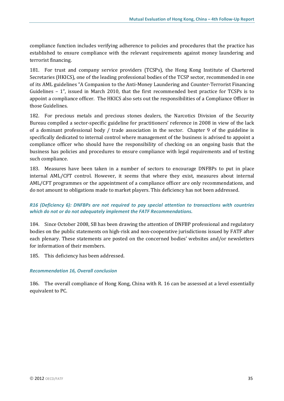compliance function includes verifying adherence to policies and procedures that the practice has established to ensure compliance with the relevant requirements against money laundering and terrorist financing.

181. For trust and company service providers (TCSPs), the Hong Kong Institute of Chartered Secretaries (HKICS), one of the leading professional bodies of the TCSP sector, recommended in one of its AML guidelines "A Companion to the Anti-Money Laundering and Counter-Terrorist Financing Guidelines – 1", issued in March 2010, that the first recommended best practice for TCSPs is to appoint a compliance officer. The HKICS also sets out the responsibilities of a Compliance Officer in those Guidelines.

182. For precious metals and precious stones dealers, the Narcotics Division of the Security Bureau compiled a sector-specific guideline for practitioners' reference in 2008 in view of the lack of a dominant professional body / trade association in the sector. Chapter 9 of the guideline is specifically dedicated to internal control where management of the business is advised to appoint a compliance officer who should have the responsibility of checking on an ongoing basis that the business has policies and procedures to ensure compliance with legal requirements and of testing such compliance.

183. Measures have been taken in a number of sectors to encourage DNFBPs to put in place internal AML/CFT control. However, it seems that where they exist, measures about internal AML/CFT programmes or the appointment of a compliance officer are only recommendations, and do not amount to obligations made to market players. This deficiency has not been addressed.

## *R16 (Deficiency 6): DNFBPs are not required to pay special attention to transactions with countries which do not or do not adequately implement the FATF Recommendations.*

184. Since October 2008, SB has been drawing the attention of DNFBP professional and regulatory bodies on the public statements on high-risk and non-cooperative jurisdictions issued by FATF after each plenary. These statements are posted on the concerned bodies' websites and/or newsletters for information of their members.

185. This deficiency has been addressed.

#### *Recommendation 16, Overall conclusion*

186. The overall compliance of Hong Kong, China with R. 16 can be assessed at a level essentially equivalent to PC.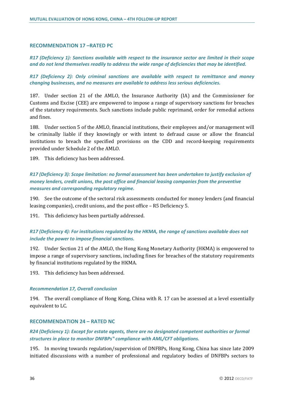#### **RECOMMENDATION 17 –RATED PC**

*R17 (Deficiency 1): Sanctions available with respect to the insurance sector are limited in their scope and do not lend themselves readily to address the wide range of deficiencies that may be identified.* 

*R17 (Deficiency 2): Only criminal sanctions are available with respect to remittance and money changing businesses, and no measures are available to address less serious deficiencies.*

187. Under section 21 of the AMLO, the Insurance Authority (IA) and the Commissioner for Customs and Excise (CEE) are empowered to impose a range of supervisory sanctions for breaches of the statutory requirements. Such sanctions include public reprimand, order for remedial actions and fines.

188. Under section 5 of the AMLO, financial institutions, their employees and/or management will be criminally liable if they knowingly or with intent to defraud cause or allow the financial institutions to breach the specified provisions on the CDD and record-keeping requirements provided under Schedule 2 of the AMLO.

189. This deficiency has been addressed.

*R17 (Deficiency 3): Scope limitation: no formal assessment has been undertaken to justify exclusion of money lenders, credit unions, the post office and financial leasing companies from the preventive measures and corresponding regulatory regime.* 

190. See the outcome of the sectoral risk assessments conducted for money lenders (and financial leasing companies), credit unions, and the post office – R5 Deficiency 5.

191. This deficiency has been partially addressed.

## *R17 (Deficiency 4): For institutions regulated by the HKMA, the range of sanctions available does not include the power to impose financial sanctions.*

192. Under Section 21 of the AMLO, the Hong Kong Monetary Authority (HKMA) is empowered to impose a range of supervisory sanctions, including fines for breaches of the statutory requirements by financial institutions regulated by the HKMA.

193. This deficiency has been addressed.

#### *Recommendation 17, Overall conclusion*

194. The overall compliance of Hong Kong, China with R. 17 can be assessed at a level essentially equivalent to LC.

#### **RECOMMENDATION 24 – RATED NC**

## *R24 (Deficiency 1): Except for estate agents, there are no designated competent authorities or formal structures in place to monitor DNFBPs" compliance with AML/CFT obligations.*

195. In moving towards regulation/supervision of DNFBPs, Hong Kong, China has since late 2009 initiated discussions with a number of professional and regulatory bodies of DNFBPs sectors to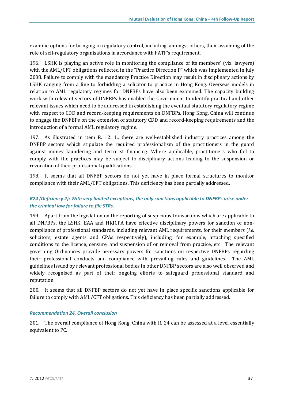examine options for bringing in regulatory control, including, amongst others, their assuming of the role of self-regulatory organisations in accordance with FATF's requirement.

196. LSHK is playing an active role in monitoring the compliance of its members' (viz. lawyers) with the AML/CFT obligations reflected in the "Practice Direction P" which was implemented in July 2008. Failure to comply with the mandatory Practice Direction may result in disciplinary actions by LSHK ranging from a fine to forbidding a solicitor to practice in Hong Kong. Overseas models in relation to AML regulatory regimes for DNFBPs have also been examined. The capacity building work with relevant sectors of DNFBPs has enabled the Government to identify practical and other relevant issues which need to be addressed in establishing the eventual statutory regulatory regime with respect to CDD and record-keeping requirements on DNFBPs. Hong Kong, China will continue to engage the DNFBPs on the extension of statutory CDD and record-keeping requirements and the introduction of a formal AML regulatory regime.

197. As illustrated in item R. 12. 1., there are well-established industry practices among the DNFBP sectors which stipulate the required professionalism of the practitioners in the guard against money laundering and terrorist financing. Where applicable, practitioners who fail to comply with the practices may be subject to disciplinary actions leading to the suspension or revocation of their professional qualifications.

198. It seems that all DNFBP sectors do not yet have in place formal structures to monitor compliance with their AML/CFT obligations. This deficiency has been partially addressed.

## *R24 (Deficiency 2): With very limited exceptions, the only sanctions applicable to DNFBPs arise under the criminal law for failure to file STRs.*

199. Apart from the legislation on the reporting of suspicious transactions which are applicable to all DNFBPs, the LSHK, EAA and HKICPA have effective disciplinary powers for sanction of noncompliance of professional standards, including relevant AML requirements, for their members (*i.e.* solicitors, estate agents and CPAs respectively), including, for example, attaching specified conditions to the licence, censure, and suspension of or removal from practice, etc. The relevant governing Ordinances provide necessary powers for sanctions on respective DNFBPs regarding their professional conducts and compliance with prevailing rules and guidelines. The AML guidelines issued by relevant professional bodies in other DNFBP sectors are also well observed and widely recognised as part of their ongoing efforts to safeguard professional standard and reputation.

200. It seems that all DNFBP sectors do not yet have in place specific sanctions applicable for failure to comply with AML/CFT obligations. This deficiency has been partially addressed.

## *Recommendation 24, Overall conclusion*

201. The overall compliance of Hong Kong, China with R. 24 can be assessed at a level essentially equivalent to PC.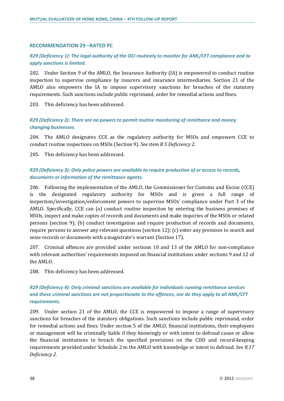#### **RECOMMENDATION 29 –RATED PC**

## *R29 (Deficiency 1): The legal authority of the OCI routinely to monitor for AML/CFT compliance and to apply sanctions is limited.*

202. Under Section 9 of the AMLO, the Insurance Authority (IA) is empowered to conduct routine inspection to supervise compliance by insurers and insurance intermediaries. Section 21 of the AMLO also empowers the IA to impose supervisory sanctions for breaches of the statutory requirements. Such sanctions include public reprimand, order for remedial actions and fines.

203. This deficiency has been addressed.

## *R29 (Deficiency 2): There are no powers to permit routine monitoring of remittance and money changing businesses.*

204. The AMLO designates CCE as the regulatory authority for MSOs and empowers CCE to conduct routine inspections on MSOs (Section 9). *See item R 5 Deficiency 2.*

205. This deficiency has been addressed.

## *R29 (Deficiency 3): Only police powers are available to require production of or access to records, documents or information of the remittance agents.*

206. Following the implementation of the AMLO, the Commissioner for Customs and Excise (CCE) is the designated regulatory authority for MSOs and is given a full range of inspection/investigation/enforcement powers to supervise MSOs' compliance under Part 3 of the AMLO. Specifically, CCE can (a) conduct routine inspection by entering the business premises of MSOs, inspect and make copies of records and documents and make inquiries of the MSOs or related persons (section 9); (b) conduct investigation and require production of records and documents, require persons to answer any relevant questions (section 12); (c) enter any premises to search and seize records or documents with a magistrate's warrant (Section 17).

207. Criminal offences are provided under sections 10 and 13 of the AMLO for non-compliance with relevant authorities' requirements imposed on financial institutions under sections 9 and 12 of the AMLO.

208. This deficiency has been addressed.

## *R29 (Deficiency 4): Only criminal sanctions are available for individuals running remittance services and these criminal sanctions are not proportionate to the offences, nor do they apply to all AML/CFT requirements.*

209. Under section 21 of the AMLO, the CCE is empowered to impose a range of supervisory sanctions for breaches of the statutory obligations. Such sanctions include public reprimand, order for remedial actions and fines. Under section 5 of the AMLO, financial institutions, their employees or management will be criminally liable if they knowingly or with intent to defraud cause or allow the financial institutions to breach the specified provisions on the CDD and record-keeping requirements provided under Schedule 2 to the AMLO with knowledge or intent to defraud. *See R.17 Deficiency 2.*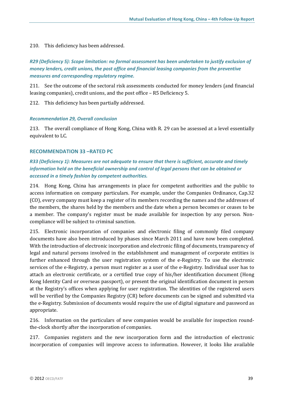#### 210. This deficiency has been addressed.

## *R29 (Deficiency 5): Scope limitation: no formal assessment has been undertaken to justify exclusion of money lenders, credit unions, the post office and financial leasing companies from the preventive measures and corresponding regulatory regime.*

211. See the outcome of the sectoral risk assessments conducted for money lenders (and financial leasing companies), credit unions, and the post office – R5 Deficiency 5.

212. This deficiency has been partially addressed.

#### *Recommendation 29, Overall conclusion*

213. The overall compliance of Hong Kong, China with R. 29 can be assessed at a level essentially equivalent to LC.

#### **RECOMMENDATION 33 –RATED PC**

## *R33 (Deficiency 1): Measures are not adequate to ensure that there is sufficient, accurate and timely information held on the beneficial ownership and control of legal persons that can be obtained or accessed in a timely fashion by competent authorities.*

214. Hong Kong, China has arrangements in place for competent authorities and the public to access information on company particulars. For example, under the Companies Ordinance, Cap.32 (CO), every company must keep a register of its members recording the names and the addresses of the members, the shares held by the members and the date when a person becomes or ceases to be a member. The company's register must be made available for inspection by any person. Noncompliance will be subject to criminal sanction.

215. Electronic incorporation of companies and electronic filing of commonly filed company documents have also been introduced by phases since March 2011 and have now been completed. With the introduction of electronic incorporation and electronic filing of documents, transparency of legal and natural persons involved in the establishment and management of corporate entities is further enhanced through the user registration system of the e-Registry. To use the electronic services of the e-Registry, a person must register as a user of the e-Registry. Individual user has to attach an electronic certificate, or a certified true copy of his/her identification document (Hong Kong Identity Card or overseas passport), or present the original identification document in person at the Registry's offices when applying for user registration. The identities of the registered users will be verified by the Companies Registry (CR) before documents can be signed and submitted via the e-Registry. Submission of documents would require the use of digital signature and password as appropriate.

216. Information on the particulars of new companies would be available for inspection roundthe-clock shortly after the incorporation of companies.

217. Companies registers and the new incorporation form and the introduction of electronic incorporation of companies will improve access to information. However, it looks like available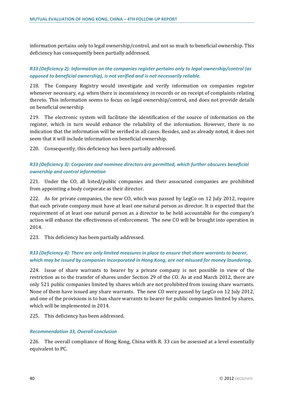information pertains only to legal ownership/control, and not so much to beneficial ownership. This deficiency has consequently been partially addressed.

## *R33 (Deficiency 2): Information on the companies register pertains only to legal ownership/control (as opposed to beneficial ownership), is not verified and is not necessarily reliable.*

218. The Company Registry would investigate and verify information on companies register whenever necessary, *e.g.* when there is inconsistency in records or on receipt of complaints relating thereto. This information seems to focus on legal ownership/control, and does not provide details on beneficial ownership

219. The electronic system will facilitate the identification of the source of information on the register, which in turn would enhance the reliability of the information. However, there is no indication that the information will be verified in all cases. Besides, and as already noted, it does not seem that it will include information on beneficial ownership.

220. Consequently, this deficiency has been partially addressed.

## *R33 (Deficiency 3): Corporate and nominee directors are permitted, which further obscures beneficial ownership and control information*

221. Under the CO, all listed/public companies and their associated companies are prohibited from appointing a body corporate as their director.

222. As for private companies, the new CO, which was passed by LegCo on 12 July 2012, require that each private company must have at least one natural person as director. It is expected that the requirement of at least one natural person as a director to be held accountable for the company's action will enhance the effectiveness of enforcement. The new CO will be brought into operation in 2014.

223. This deficiency has been partially addressed.

## *R33 (Deficiency 4): There are only limited measures in place to ensure that share warrants to bearer, which may be issued by companies incorporated in Hong Kong, are not misused for money laundering.*

224. Issue of share warrants to bearer by a private company is not possible in view of the restriction as to the transfer of shares under Section 29 of the CO. As at end March 2012, there are only 521 public companies limited by shares which are not prohibited from issuing share warrants. None of them have issued any share warrants. The new CO were passed by LegCo on 12 July 2012, and one of the provisions is to ban share warrants to bearer for public companies limited by shares, which will be implemented in 2014.

225. This deficiency has been addressed.

#### *Recommendation 33, Overall conclusion*

226. The overall compliance of Hong Kong, China with R. 33 can be assessed at a level essentially equivalent to PC.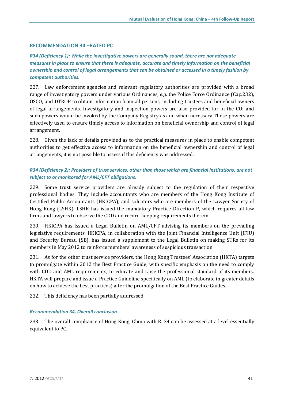#### **RECOMMENDATION 34 –RATED PC**

*R34 (Deficiency 1): While the investigative powers are generally sound, there are not adequate measures in place to ensure that there is adequate, accurate and timely information on the beneficial ownership and control of legal arrangements that can be obtained or accessed in a timely fashion by competent authorities.* 

227. Law enforcement agencies and relevant regulatory authorities are provided with a broad range of investigatory powers under various Ordinances, *e.g.* the Police Force Ordinance (Cap.232), OSCO, and DTROP to obtain information from all persons, including trustees and beneficial owners of legal arrangements. Investigatory and inspection powers are also provided for in the CO; and such powers would be invoked by the Company Registry as and when necessary These powers are effectively used to ensure timely access to information on beneficial ownership and control of legal arrangement.

228. Given the lack of details provided as to the practical measures in place to enable competent authorities to get effective access to information on the beneficial ownership and control of legal arrangements, it is not possible to assess if this deficiency was addressed.

## *R34 (Deficiency 2): Providers of trust services, other than those which are financial institutions, are not subject to or monitored for AML/CFT obligations.*

229. Some trust service providers are already subject to the regulation of their respective professional bodies. They include accountants who are members of the Hong Kong Institute of Certified Public Accountants (HKICPA), and solicitors who are members of the Lawyer Society of Hong Kong (LSHK). LSHK has issued the mandatory Practice Direction P, which requires all law firms and lawyers to observe the CDD and record-keeping requirements therein.

230. HKICPA has issued a Legal Bulletin on AML/CFT advising its members on the prevailing legislative requirements. HKICPA, in collaboration with the Joint Financial Intelligence Unit (JFIU) and Security Bureau (SB), has issued a supplement to the Legal Bulletin on making STRs for its members in May 2012 to reinforce members' awareness of suspicious transaction.

231. As for the other trust service providers, the Hong Kong Trustees' Association (HKTA) targets to promulgate within 2012 the Best Practice Guide, with specific emphasis on the need to comply with CDD and AML requirements, to educate and raise the professional standard of its members. HKTA will prepare and issue a Practice Guideline specifically on AML (to elaborate in greater details on how to achieve the best practices) after the promulgation of the Best Practice Guides.

232. This deficiency has been partially addressed.

#### *Recommendation 34, Overall conclusion*

233. The overall compliance of Hong Kong, China with R. 34 can be assessed at a level essentially equivalent to PC.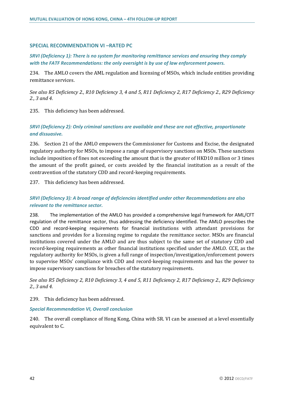#### **SPECIAL RECOMMENDATION VI –RATED PC**

*SRVI (Deficiency 1): There is no system for monitoring remittance services and ensuring they comply with the FATF Recommendations: the only oversight is by use of law enforcement powers.* 

234. The AMLO covers the AML regulation and licensing of MSOs, which include entities providing remittance services.

*See also R5 Deficiency 2., R10 Deficiency 3, 4 and 5, R11 Deficiency 2, R17 Deficiency 2., R29 Deficiency 2., 3 and 4.*

235. This deficiency has been addressed.

## *SRVI (Deficiency 2): Only criminal sanctions are available and these are not effective, proportionate and dissuasive.*

236. Section 21 of the AMLO empowers the Commissioner for Customs and Excise, the designated regulatory authority for MSOs, to impose a range of supervisory sanctions on MSOs. These sanctions include imposition of fines not exceeding the amount that is the greater of HKD10 million or 3 times the amount of the profit gained, or costs avoided by the financial institution as a result of the contravention of the statutory CDD and record-keeping requirements.

237. This deficiency has been addressed.

## *SRVI (Deficiency 3): A broad range of deficiencies identified under other Recommendations are also relevant to the remittance sector.*

238. The implementation of the AMLO has provided a comprehensive legal framework for AML/CFT regulation of the remittance sector, thus addressing the deficiency identified. The AMLO prescribes the CDD and record-keeping requirements for financial institutions with attendant provisions for sanctions and provides for a licensing regime to regulate the remittance sector. MSOs are financial institutions covered under the AMLO and are thus subject to the same set of statutory CDD and record-keeping requirements as other financial institutions specified under the AMLO. CCE, as the regulatory authority for MSOs, is given a full range of inspection/investigation/enforcement powers to supervise MSOs' compliance with CDD and record-keeping requirements and has the power to impose supervisory sanctions for breaches of the statutory requirements.

*See also R5 Deficiency 2, R10 Deficiency 3, 4 and 5, R11 Deficiency 2, R17 Deficiency 2., R29 Deficiency 2., 3 and 4.*

239. This deficiency has been addressed.

#### *Special Recommendation VI, Overall conclusion*

240. The overall compliance of Hong Kong, China with SR. VI can be assessed at a level essentially equivalent to C.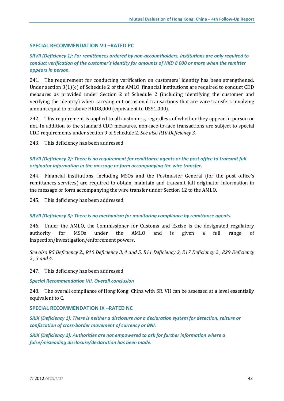## **SPECIAL RECOMMENDATION VII –RATED PC**

## *SRVII (Deficiency 1): For remittances ordered by non-accountholders, institutions are only required to conduct verification of the customer's identity for amounts of HKD 8 000 or more when the remitter appears in person.*

241. The requirement for conducting verification on customers' identity has been strengthened. Under section 3(1)(c) of Schedule 2 of the AMLO, financial institutions are required to conduct CDD measures as provided under Section 2 of Schedule 2 (including identifying the customer and verifying the identity) when carrying out occasional transactions that are wire transfers involving amount equal to or above HKD8,000 (equivalent to US\$1,000).

242. This requirement is applied to all customers, regardless of whether they appear in person or not. In addition to the standard CDD measures, non-face-to-face transactions are subject to special CDD requirements under section 9 of Schedule 2. *See also R10 Deficiency 3.*

243. This deficiency has been addressed.

## *SRVII (Deficiency 2): There is no requirement for remittance agents or the post office to transmit full originator information in the message or form accompanying the wire transfer.*

244. Financial institutions, including MSOs and the Postmaster General (for the post office's remittances services) are required to obtain, maintain and transmit full originator information in the message or form accompanying the wire transfer under Section 12 to the AMLO.

245. This deficiency has been addressed.

#### *SRVII (Deficiency 3): There is no mechanism for monitoring compliance by remittance agents.*

246. Under the AMLO, the Commissioner for Customs and Excise is the designated regulatory authority for MSOs under the AMLO and is given a full range of inspection/investigation/enforcement powers.

*See also R5 Deficiency 2., R10 Deficiency 3, 4 and 5, R11 Deficiency 2, R17 Deficiency 2., R29 Deficiency 2., 3 and 4.*

247. This deficiency has been addressed.

#### *Special Recommendation VII, Overall conclusion*

248. The overall compliance of Hong Kong, China with SR. VII can be assessed at a level essentially equivalent to C.

#### **SPECIAL RECOMMENDATION IX –RATED NC**

*SRIX (Deficiency 1): There is neither a disclosure nor a declaration system for detection, seizure or confiscation of cross-border movement of currency or BNI.* 

*SRIX (Deficiency 2): Authorities are not empowered to ask for further information where a false/misleading disclosure/declaration has been made.*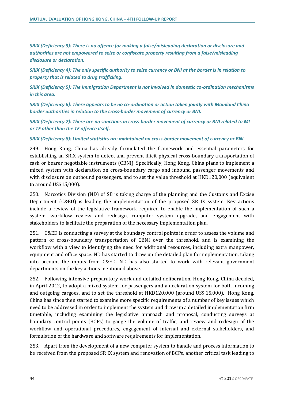*SRIX (Deficiency 3): There is no offence for making a false/misleading declaration or disclosure and authorities are not empowered to seize or confiscate property resulting from a false/misleading disclosure or declaration.* 

*SRIX (Deficiency 4): The only specific authority to seize currency or BNI at the border is in relation to property that is related to drug trafficking.* 

*SRIX (Deficiency 5): The Immigration Department is not involved in domestic co-ordination mechanisms in this area.* 

*SRIX (Deficiency 6): There appears to be no co-ordination or action taken jointly with Mainland China border authorities in relation to the cross-border movement of currency or BNI.* 

*SRIX (Deficiency 7): There are no sanctions in cross-border movement of currency or BNI related to ML or TF other than the TF offence itself.* 

#### *SRIX (Deficiency 8): Limited statistics are maintained on cross-border movement of currency or BNI.*

249. Hong Kong, China has already formulated the framework and essential parameters for establishing an SRIX system to detect and prevent illicit physical cross-boundary transportation of cash or bearer negotiable instruments (CBNI). Specifically, Hong Kong, China plans to implement a mixed system with declaration on cross-boundary cargo and inbound passenger movements and with disclosure on outbound passengers, and to set the value threshold at HKD120,000 (equivalent to around US\$15,000).

250. Narcotics Division (ND) of SB is taking charge of the planning and the Customs and Excise Department (C&ED) is leading the implementation of the proposed SR IX system. Key actions include a review of the legislative framework required to enable the implementation of such a system, workflow review and redesign, computer system upgrade, and engagement with stakeholders to facilitate the preparation of the necessary implementation plan.

251. C&ED is conducting a survey at the boundary control points in order to assess the volume and pattern of cross-boundary transportation of CBNI over the threshold, and is examining the workflow with a view to identifying the need for additional resources, including extra manpower, equipment and office space. ND has started to draw up the detailed plan for implementation, taking into account the inputs from C&ED. ND has also started to work with relevant government departments on the key actions mentioned above.

252. Following intensive preparatory work and detailed deliberation, Hong Kong, China decided, in April 2012, to adopt a mixed system for passengers and a declaration system for both incoming and outgoing cargoes, and to set the threshold at HKD120,000 (around US\$ 15,000). Hong Kong, China has since then started to examine more specific requirements of a number of key issues which need to be addressed in order to implement the system and draw up a detailed implementation firm timetable, including examining the legislative approach and proposal, conducting surveys at boundary control points (BCPs) to gauge the volume of traffic, and review and redesign of the workflow and operational procedures, engagement of internal and external stakeholders, and formulation of the hardware and software requirements for implementation.

253. Apart from the development of a new computer system to handle and process information to be received from the proposed SR IX system and renovation of BCPs, another critical task leading to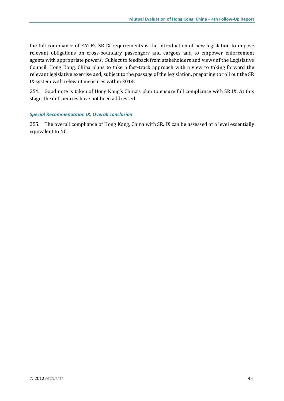the full compliance of FATF's SR IX requirements is the introduction of new legislation to impose relevant obligations on cross-boundary passengers and cargoes and to empower enforcement agents with appropriate powers. Subject to feedback from stakeholders and views of the Legislative Council, Hong Kong, China plans to take a fast-track approach with a view to taking forward the relevant legislative exercise and, subject to the passage of the legislation, preparing to roll out the SR IX system with relevant measures within 2014.

254. Good note is taken of Hong Kong's China's plan to ensure full compliance with SR IX. At this stage, the deficiencies have not been addressed.

#### *Special Recommendation IX, Overall conclusion*

255. The overall compliance of Hong Kong, China with SR. IX can be assessed at a level essentially equivalent to NC.